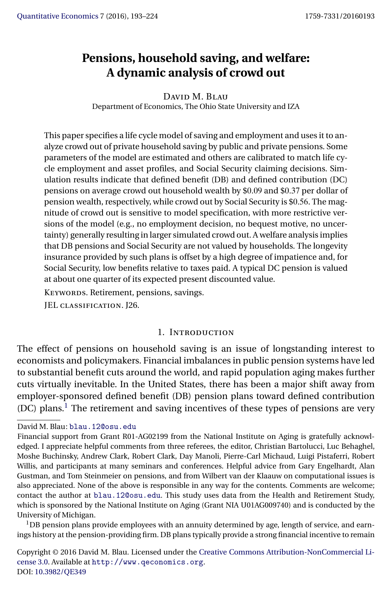# **Pensions, household saving, and welfare: A dynamic analysis of crowd out**

#### David M. Blau

Department of Economics, The Ohio State University and IZA

This paper specifies a life cycle model of saving and employment and uses it to analyze crowd out of private household saving by public and private pensions. Some parameters of the model are estimated and others are calibrated to match life cycle employment and asset profiles, and Social Security claiming decisions. Simulation results indicate that defined benefit (DB) and defined contribution (DC) pensions on average crowd out household wealth by \$0-09 and \$0-37 per dollar of pension wealth, respectively, while crowd out by Social Security is \$0-56. The magnitude of crowd out is sensitive to model specification, with more restrictive versions of the model (e.g., no employment decision, no bequest motive, no uncertainty) generally resulting in larger simulated crowd out. A welfare analysis implies that DB pensions and Social Security are not valued by households. The longevity insurance provided by such plans is offset by a high degree of impatience and, for Social Security, low benefits relative to taxes paid. A typical DC pension is valued at about one quarter of its expected present discounted value.

KEYWORDS. Retirement, pensions, savings.

JEL classification. J26.

#### 1. Introduction

The effect of pensions on household saving is an issue of longstanding interest to economists and policymakers. Financial imbalances in public pension systems have led to substantial benefit cuts around the world, and rapid population aging makes further cuts virtually inevitable. In the United States, there has been a major shift away from employer-sponsored defined benefit (DB) pension plans toward defined contribution  $(DC)$  plans.<sup>1</sup> The retirement and saving incentives of these types of pensions are very

David M. Blau: [blau.12@osu.edu](mailto:blau.12@osu.edu)

 $1\text{DB}$  pension plans provide employees with an annuity determined by age, length of service, and earnings history at the pension-providing firm. DB plans typically provide a strong financial incentive to remain

Copyright © 2016 David M. Blau. Licensed under the [Creative Commons Attribution-NonCommercial Li](http://creativecommons.org/licenses/by-nc/3.0/)[cense 3.0.](http://creativecommons.org/licenses/by-nc/3.0/) Available at [http://www.qeconomics.org](http://www.qeconomics.org/). DOI: [10.3982/QE349](http://dx.doi.org/10.3982/QE349)

Financial support from Grant R01-AG02199 from the National Institute on Aging is gratefully acknowledged. I appreciate helpful comments from three referees, the editor, Christian Bartolucci, Luc Behaghel, Moshe Buchinsky, Andrew Clark, Robert Clark, Day Manoli, Pierre-Carl Michaud, Luigi Pistaferri, Robert Willis, and participants at many seminars and conferences. Helpful advice from Gary Engelhardt, Alan Gustman, and Tom Steinmeier on pensions, and from Wilbert van der Klaauw on computational issues is also appreciated. None of the above is responsible in any way for the contents. Comments are welcome; contact the author at [blau.12@osu.edu](mailto:blau.12@osu.edu). This study uses data from the Health and Retirement Study, which is sponsored by the National Institute on Aging (Grant NIA U01AG009740) and is conducted by the University of Michigan.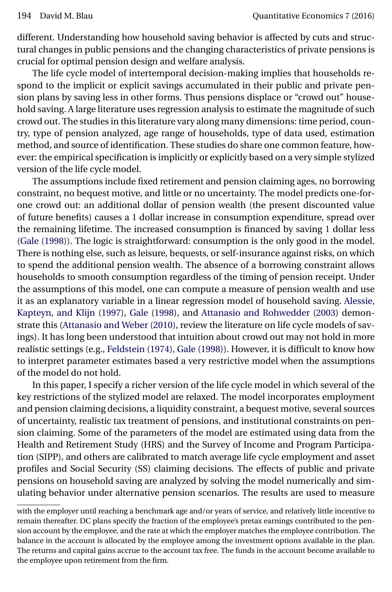<span id="page-1-0"></span>different. Understanding how household saving behavior is affected by cuts and structural changes in public pensions and the changing characteristics of private pensions is crucial for optimal pension design and welfare analysis.

The life cycle model of intertemporal decision-making implies that households respond to the implicit or explicit savings accumulated in their public and private pension plans by saving less in other forms. Thus pensions displace or "crowd out" household saving. A large literature uses regression analysis to estimate the magnitude of such crowd out. The studies in this literature vary along many dimensions: time period, country, type of pension analyzed, age range of households, type of data used, estimation method, and source of identification. These studies do share one common feature, however: the empirical specification is implicitly or explicitly based on a very simple stylized version of the life cycle model.

The assumptions include fixed retirement and pension claiming ages, no borrowing constraint, no bequest motive, and little or no uncertainty. The model predicts one-forone crowd out: an additional dollar of pension wealth (the present discounted value of future benefits) causes a 1 dollar increase in consumption expenditure, spread over the remaining lifetime. The increased consumption is financed by saving 1 dollar less [\(Gale \(1998\)\)](#page-30-0). The logic is straightforward: consumption is the only good in the model. There is nothing else, such as leisure, bequests, or self-insurance against risks, on which to spend the additional pension wealth. The absence of a borrowing constraint allows households to smooth consumption regardless of the timing of pension receipt. Under the assumptions of this model, one can compute a measure of pension wealth and use it as an explanatory variable in a linear regression model of household saving. [Alessie,](#page-29-0) [Kapteyn, and Klijn](#page-29-0) [\(1997\)](#page-29-0), [Gale](#page-30-0) [\(1998\)](#page-30-0), and [Attanasio and Rohwedder](#page-29-0) [\(2003\)](#page-29-0) demonstrate this [\(Attanasio and Weber \(2010\),](#page-29-0) review the literature on life cycle models of savings). It has long been understood that intuition about crowd out may not hold in more realistic settings (e.g., [Feldstein \(1974\),](#page-30-0) [Gale \(1998\)\)](#page-30-0). However, it is difficult to know how to interpret parameter estimates based a very restrictive model when the assumptions of the model do not hold.

In this paper, I specify a richer version of the life cycle model in which several of the key restrictions of the stylized model are relaxed. The model incorporates employment and pension claiming decisions, a liquidity constraint, a bequest motive, several sources of uncertainty, realistic tax treatment of pensions, and institutional constraints on pension claiming. Some of the parameters of the model are estimated using data from the Health and Retirement Study (HRS) and the Survey of Income and Program Participation (SIPP), and others are calibrated to match average life cycle employment and asset profiles and Social Security (SS) claiming decisions. The effects of public and private pensions on household saving are analyzed by solving the model numerically and simulating behavior under alternative pension scenarios. The results are used to measure

with the employer until reaching a benchmark age and/or years of service, and relatively little incentive to remain thereafter. DC plans specify the fraction of the employee's pretax earnings contributed to the pension account by the employee, and the rate at which the employer matches the employee contribution. The balance in the account is allocated by the employee among the investment options available in the plan. The returns and capital gains accrue to the account tax free. The funds in the account become available to the employee upon retirement from the firm.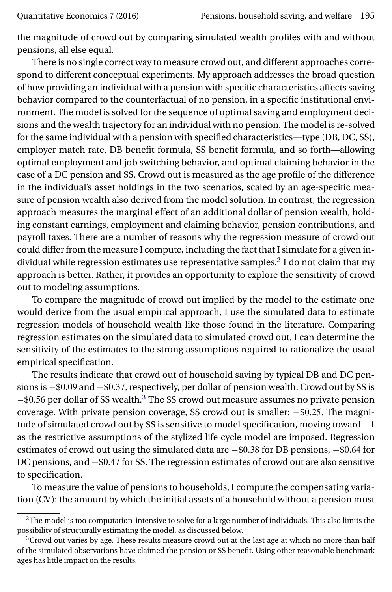the magnitude of crowd out by comparing simulated wealth profiles with and without pensions, all else equal.

There is no single correct way to measure crowd out, and different approaches correspond to different conceptual experiments. My approach addresses the broad question of how providing an individual with a pension with specific characteristics affects saving behavior compared to the counterfactual of no pension, in a specific institutional environment. The model is solved for the sequence of optimal saving and employment decisions and the wealth trajectory for an individual with no pension. The model is re-solved for the same individual with a pension with specified characteristics—type (DB, DC, SS), employer match rate, DB benefit formula, SS benefit formula, and so forth—allowing optimal employment and job switching behavior, and optimal claiming behavior in the case of a DC pension and SS. Crowd out is measured as the age profile of the difference in the individual's asset holdings in the two scenarios, scaled by an age-specific measure of pension wealth also derived from the model solution. In contrast, the regression approach measures the marginal effect of an additional dollar of pension wealth, holding constant earnings, employment and claiming behavior, pension contributions, and payroll taxes. There are a number of reasons why the regression measure of crowd out could differ from the measure I compute, including the fact that I simulate for a given individual while regression estimates use representative samples.<sup>2</sup> I do not claim that my approach is better. Rather, it provides an opportunity to explore the sensitivity of crowd out to modeling assumptions.

To compare the magnitude of crowd out implied by the model to the estimate one would derive from the usual empirical approach, I use the simulated data to estimate regression models of household wealth like those found in the literature. Comparing regression estimates on the simulated data to simulated crowd out, I can determine the sensitivity of the estimates to the strong assumptions required to rationalize the usual empirical specification.

The results indicate that crowd out of household saving by typical DB and DC pensions is −\$0-09 and −\$0-37, respectively, per dollar of pension wealth. Crowd out by SS is −\$0.56 per dollar of SS wealth.<sup>3</sup> The SS crowd out measure assumes no private pension coverage. With private pension coverage, SS crowd out is smaller: −\$0-25. The magnitude of simulated crowd out by SS is sensitive to model specification, moving toward −1 as the restrictive assumptions of the stylized life cycle model are imposed. Regression estimates of crowd out using the simulated data are −\$0-38 for DB pensions, −\$0-64 for DC pensions, and −\$0-47 for SS. The regression estimates of crowd out are also sensitive to specification.

To measure the value of pensions to households, I compute the compensating variation (CV): the amount by which the initial assets of a household without a pension must

 $2$ The model is too computation-intensive to solve for a large number of individuals. This also limits the possibility of structurally estimating the model, as discussed below.

 $3$ Crowd out varies by age. These results measure crowd out at the last age at which no more than half of the simulated observations have claimed the pension or SS benefit. Using other reasonable benchmark ages has little impact on the results.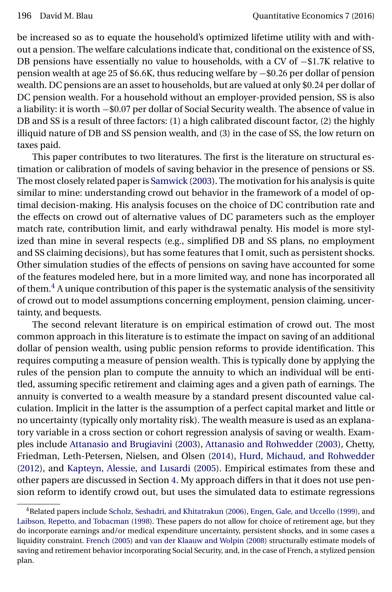<span id="page-3-0"></span>be increased so as to equate the household's optimized lifetime utility with and without a pension. The welfare calculations indicate that, conditional on the existence of SS, DB pensions have essentially no value to households, with a CV of −\$1-7K relative to pension wealth at age 25 of \$6-6K, thus reducing welfare by −\$0-26 per dollar of pension wealth. DC pensions are an asset to households, but are valued at only \$0-24 per dollar of DC pension wealth. For a household without an employer-provided pension, SS is also a liability: it is worth −\$0-07 per dollar of Social Security wealth. The absence of value in DB and SS is a result of three factors: (1) a high calibrated discount factor, (2) the highly illiquid nature of DB and SS pension wealth, and (3) in the case of SS, the low return on taxes paid.

This paper contributes to two literatures. The first is the literature on structural estimation or calibration of models of saving behavior in the presence of pensions or SS. The most closely related paper is [Samwick](#page-31-0) [\(2003\)](#page-31-0). The motivation for his analysis is quite similar to mine: understanding crowd out behavior in the framework of a model of optimal decision-making. His analysis focuses on the choice of DC contribution rate and the effects on crowd out of alternative values of DC parameters such as the employer match rate, contribution limit, and early withdrawal penalty. His model is more stylized than mine in several respects (e.g., simplified DB and SS plans, no employment and SS claiming decisions), but has some features that I omit, such as persistent shocks. Other simulation studies of the effects of pensions on saving have accounted for some of the features modeled here, but in a more limited way, and none has incorporated all of them.<sup>4</sup> A unique contribution of this paper is the systematic analysis of the sensitivity of crowd out to model assumptions concerning employment, pension claiming, uncertainty, and bequests.

The second relevant literature is on empirical estimation of crowd out. The most common approach in this literature is to estimate the impact on saving of an additional dollar of pension wealth, using public pension reforms to provide identification. This requires computing a measure of pension wealth. This is typically done by applying the rules of the pension plan to compute the annuity to which an individual will be entitled, assuming specific retirement and claiming ages and a given path of earnings. The annuity is converted to a wealth measure by a standard present discounted value calculation. Implicit in the latter is the assumption of a perfect capital market and little or no uncertainty (typically only mortality risk). The wealth measure is used as an explanatory variable in a cross section or cohort regression analysis of saving or wealth. Examples include [Attanasio and Brugiavini](#page-29-0) [\(2003\)](#page-29-0), [Attanasio and Rohwedder](#page-29-0) [\(2003\)](#page-29-0), Chetty, Friedman, Leth-Petersen, Nielsen, and Olsen [\(2014\)](#page-30-0), [Hurd, Michaud, and Rohwedder](#page-30-0) [\(2012\)](#page-30-0), and [Kapteyn, Alessie, and Lusardi](#page-31-0) [\(2005\)](#page-31-0). Empirical estimates from these and other papers are discussed in Section [4.](#page-13-0) My approach differs in that it does not use pension reform to identify crowd out, but uses the simulated data to estimate regressions

<sup>4</sup>Related papers include [Scholz, Seshadri, and Khitatrakun](#page-31-0) [\(2006\)](#page-31-0), [Engen, Gale, and Uccello](#page-30-0) [\(1999\)](#page-30-0), and [Laibson, Repetto, and Tobacman](#page-31-0) [\(1998\)](#page-31-0). These papers do not allow for choice of retirement age, but they do incorporate earnings and/or medical expenditure uncertainty, persistent shocks, and in some cases a liquidity constraint. [French](#page-30-0) [\(2005\)](#page-30-0) and [van der Klaauw and Wolpin](#page-31-0) [\(2008\)](#page-31-0) structurally estimate models of saving and retirement behavior incorporating Social Security, and, in the case of French, a stylized pension plan.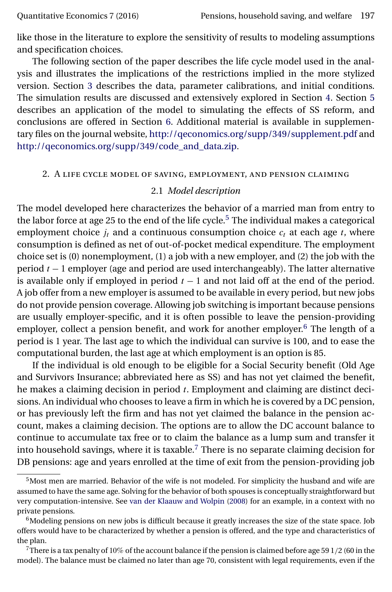<span id="page-4-0"></span>like those in the literature to explore the sensitivity of results to modeling assumptions and specification choices.

The following section of the paper describes the life cycle model used in the analysis and illustrates the implications of the restrictions implied in the more stylized version. Section [3](#page-9-0) describes the data, parameter calibrations, and initial conditions. The simulation results are discussed and extensively explored in Section [4.](#page-13-0) Section [5](#page-27-0) describes an application of the model to simulating the effects of SS reform, and conclusions are offered in Section [6.](#page-28-0) Additional material is available in supplementary files on the journal website, <http://qeconomics.org/supp/349/supplement.pdf> and [http://qeconomics.org/supp/349/code\\_and\\_data.zip](http://qeconomics.org/supp/349/code_and_data.zip).

### 2. A life cycle model of saving, employment, and pension claiming

# 2.1 *Model description*

The model developed here characterizes the behavior of a married man from entry to the labor force at age 25 to the end of the life cycle.<sup>5</sup> The individual makes a categorical employment choice  $j_t$  and a continuous consumption choice  $c_t$  at each age t, where consumption is defined as net of out-of-pocket medical expenditure. The employment choice set is (0) nonemployment, (1) a job with a new employer, and (2) the job with the period  $t - 1$  employer (age and period are used interchangeably). The latter alternative is available only if employed in period  $t - 1$  and not laid off at the end of the period. A job offer from a new employer is assumed to be available in every period, but new jobs do not provide pension coverage. Allowing job switching is important because pensions are usually employer-specific, and it is often possible to leave the pension-providing employer, collect a pension benefit, and work for another employer.<sup>6</sup> The length of a period is 1 year. The last age to which the individual can survive is 100, and to ease the computational burden, the last age at which employment is an option is 85.

If the individual is old enough to be eligible for a Social Security benefit (Old Age and Survivors Insurance; abbreviated here as SS) and has not yet claimed the benefit, he makes a claiming decision in period t. Employment and claiming are distinct decisions. An individual who chooses to leave a firm in which he is covered by a DC pension, or has previously left the firm and has not yet claimed the balance in the pension account, makes a claiming decision. The options are to allow the DC account balance to continue to accumulate tax free or to claim the balance as a lump sum and transfer it into household savings, where it is taxable.<sup>7</sup> There is no separate claiming decision for DB pensions: age and years enrolled at the time of exit from the pension-providing job

 $5$ Most men are married. Behavior of the wife is not modeled. For simplicity the husband and wife are assumed to have the same age. Solving for the behavior of both spouses is conceptually straightforward but very computation-intensive. See [van der Klaauw and Wolpin](#page-31-0) [\(2008\)](#page-31-0) for an example, in a context with no private pensions.

 $6$ Modeling pensions on new jobs is difficult because it greatly increases the size of the state space. Job offers would have to be characterized by whether a pension is offered, and the type and characteristics of the plan.

 $7$ There is a tax penalty of 10% of the account balance if the pension is claimed before age 59 1/2 (60 in the model). The balance must be claimed no later than age 70, consistent with legal requirements, even if the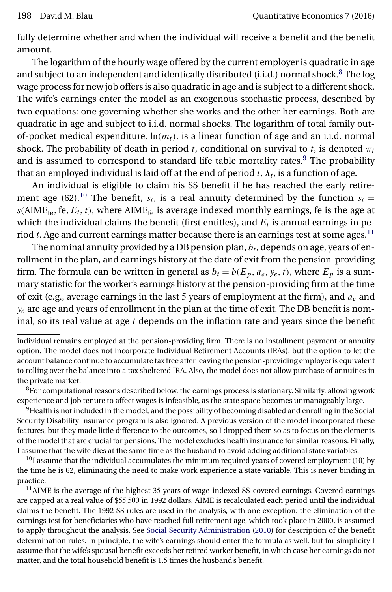<span id="page-5-0"></span>fully determine whether and when the individual will receive a benefit and the benefit amount.

The logarithm of the hourly wage offered by the current employer is quadratic in age and subject to an independent and identically distributed (i.i.d.) normal shock.<sup>8</sup> The log wage process for new job offers is also quadratic in age and is subject to a different shock. The wife's earnings enter the model as an exogenous stochastic process, described by two equations: one governing whether she works and the other her earnings. Both are quadratic in age and subject to i.i.d. normal shocks. The logarithm of total family outof-pocket medical expenditure,  $ln(m_t)$ , is a linear function of age and an i.i.d. normal shock. The probability of death in period t, conditional on survival to t, is denoted  $\pi_t$ and is assumed to correspond to standard life table mortality rates.<sup>9</sup> The probability that an employed individual is laid off at the end of period t,  $\lambda_t$ , is a function of age.

An individual is eligible to claim his SS benefit if he has reached the early retirement age (62).<sup>10</sup> The benefit,  $s_t$ , is a real annuity determined by the function  $s_t =$  $s(AIME_{fe}, fe, E_t, t)$ , where  $AIME_{fe}$  is average indexed monthly earnings, fe is the age at which the individual claims the benefit (first entitles), and  $E_t$  is annual earnings in period  $t$ . Age and current earnings matter because there is an earnings test at some ages.<sup>11</sup>

The nominal annuity provided by a DB pension plan,  $b_t$ , depends on age, years of enrollment in the plan, and earnings history at the date of exit from the pension-providing firm. The formula can be written in general as  $b_t = b(E_p, a_e, y_e, t)$ , where  $E_p$  is a summary statistic for the worker's earnings history at the pension-providing firm at the time of exit (e.g., average earnings in the last 5 years of employment at the firm), and  $a_e$  and  $y_e$  are age and years of enrollment in the plan at the time of exit. The DB benefit is nominal, so its real value at age  $t$  depends on the inflation rate and years since the benefit

individual remains employed at the pension-providing firm. There is no installment payment or annuity option. The model does not incorporate Individual Retirement Accounts (IRAs), but the option to let the account balance continue to accumulate tax free after leaving the pension-providing employer is equivalent to rolling over the balance into a tax sheltered IRA. Also, the model does not allow purchase of annuities in the private market.

 $8$ For computational reasons described below, the earnings process is stationary. Similarly, allowing work experience and job tenure to affect wages is infeasible, as the state space becomes unmanageably large.

<sup>&</sup>lt;sup>9</sup>Health is not included in the model, and the possibility of becoming disabled and enrolling in the Social Security Disability Insurance program is also ignored. A previous version of the model incorporated these features, but they made little difference to the outcomes, so I dropped them so as to focus on the elements of the model that are crucial for pensions. The model excludes health insurance for similar reasons. Finally, I assume that the wife dies at the same time as the husband to avoid adding additional state variables.

 $10$ I assume that the individual accumulates the minimum required years of covered employment (10) by the time he is 62, eliminating the need to make work experience a state variable. This is never binding in practice.

 $<sup>11</sup>$ AIME is the average of the highest 35 years of wage-indexed SS-covered earnings. Covered earnings</sup> are capped at a real value of \$55,500 in 1992 dollars. AIME is recalculated each period until the individual claims the benefit. The 1992 SS rules are used in the analysis, with one exception: the elimination of the earnings test for beneficiaries who have reached full retirement age, which took place in 2000, is assumed to apply throughout the analysis. See [Social Security Administration](#page-31-0) [\(2010\)](#page-31-0) for description of the benefit determination rules. In principle, the wife's earnings should enter the formula as well, but for simplicity I assume that the wife's spousal benefit exceeds her retired worker benefit, in which case her earnings do not matter, and the total household benefit is 1-5 times the husband's benefit.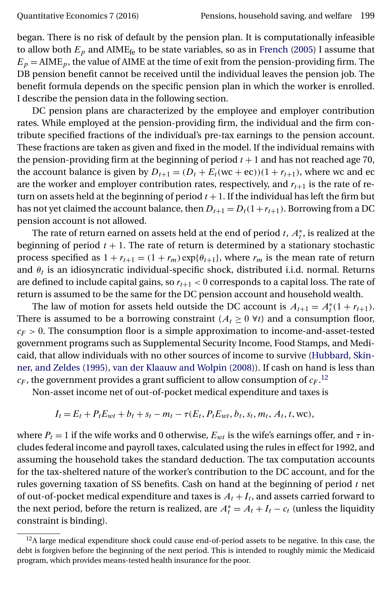<span id="page-6-0"></span>

began. There is no risk of default by the pension plan. It is computationally infeasible to allow both  $E_p$  and AIME<sub>fe</sub> to be state variables, so as in [French](#page-30-0) [\(2005\)](#page-30-0) I assume that  $E_p = AIME_p$ , the value of AIME at the time of exit from the pension-providing firm. The DB pension benefit cannot be received until the individual leaves the pension job. The benefit formula depends on the specific pension plan in which the worker is enrolled. I describe the pension data in the following section.

DC pension plans are characterized by the employee and employer contribution rates. While employed at the pension-providing firm, the individual and the firm contribute specified fractions of the individual's pre-tax earnings to the pension account. These fractions are taken as given and fixed in the model. If the individual remains with the pension-providing firm at the beginning of period  $t + 1$  and has not reached age 70, the account balance is given by  $D_{t+1} = (D_t + E_t(wc + ec))(1 + r_{t+1})$ , where wc and ec are the worker and employer contribution rates, respectively, and  $r_{t+1}$  is the rate of return on assets held at the beginning of period  $t + 1$ . If the individual has left the firm but has not yet claimed the account balance, then  $D_{t+1} = D_t(1+r_{t+1})$ . Borrowing from a DC pension account is not allowed.

The rate of return earned on assets held at the end of period  $t$ ,  $A_t^*$ , is realized at the beginning of period  $t + 1$ . The rate of return is determined by a stationary stochastic process specified as  $1 + r_{t+1} = (1 + r_m) \exp{\{\theta_{t+1}\}}$ , where  $r_m$  is the mean rate of return and  $\theta_t$  is an idiosyncratic individual-specific shock, distributed i.i.d. normal. Returns are defined to include capital gains, so  $r_{t+1} < 0$  corresponds to a capital loss. The rate of return is assumed to be the same for the DC pension account and household wealth.

The law of motion for assets held outside the DC account is  $A_{t+1} = A_t^*(1 + r_{t+1}).$ There is assumed to be a borrowing constraint  $(A_t \geq 0 \forall t)$  and a consumption floor,  $c_F > 0$ . The consumption floor is a simple approximation to income-and-asset-tested government programs such as Supplemental Security Income, Food Stamps, and Medicaid, that allow individuals with no other sources of income to survive [\(Hubbard, Skin](#page-30-0)[ner, and Zeldes \(1995\),](#page-30-0) [van der Klaauw and Wolpin \(2008\)\)](#page-31-0). If cash on hand is less than  $c_F$ , the government provides a grant sufficient to allow consumption of  $c_F$ .<sup>12</sup>

Non-asset income net of out-of-pocket medical expenditure and taxes is

$$
I_t = E_t + P_t E_{wt} + b_t + s_t - m_t - \tau(E_t, P_t E_{wt}, b_t, s_t, m_t, A_t, t, \text{wc}),
$$

where  $P_t = 1$  if the wife works and 0 otherwise,  $E_{wt}$  is the wife's earnings offer, and  $\tau$  includes federal income and payroll taxes, calculated using the rules in effect for 1992, and assuming the household takes the standard deduction. The tax computation accounts for the tax-sheltered nature of the worker's contribution to the DC account, and for the rules governing taxation of SS benefits. Cash on hand at the beginning of period  $t$  net of out-of-pocket medical expenditure and taxes is  $A_t + I_t$ , and assets carried forward to the next period, before the return is realized, are  $A_t^* = A_t + I_t - c_t$  (unless the liquidity constraint is binding).

 $12A$  large medical expenditure shock could cause end-of-period assets to be negative. In this case, the debt is forgiven before the beginning of the next period. This is intended to roughly mimic the Medicaid program, which provides means-tested health insurance for the poor.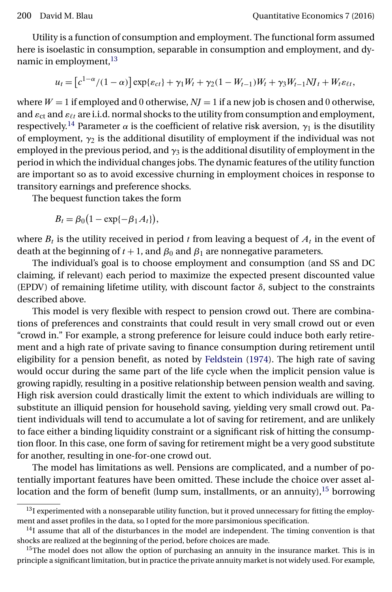<span id="page-7-0"></span>Utility is a function of consumption and employment. The functional form assumed here is isoelastic in consumption, separable in consumption and employment, and dynamic in employment, <sup>13</sup>

$$
u_t = [c^{1-\alpha}/(1-\alpha)] \exp\{\varepsilon_{ct}\} + \gamma_1 W_t + \gamma_2 (1-W_{t-1})W_t + \gamma_3 W_{t-1}N J_t + W_t \varepsilon_{\ell t},
$$

where  $W = 1$  if employed and 0 otherwise,  $NJ = 1$  if a new job is chosen and 0 otherwise, and  $\varepsilon_{ct}$  and  $\varepsilon_{\ell t}$  are i.i.d. normal shocks to the utility from consumption and employment, respectively.<sup>14</sup> Parameter  $\alpha$  is the coefficient of relative risk aversion,  $\gamma_1$  is the disutility of employment,  $\gamma_2$  is the additional disutility of employment if the individual was not employed in the previous period, and  $\gamma_3$  is the additional disutility of employment in the period in which the individual changes jobs. The dynamic features of the utility function are important so as to avoid excessive churning in employment choices in response to transitory earnings and preference shocks.

The bequest function takes the form

$$
B_t = \beta_0 \big( 1 - \exp\{-\beta_1 A_t \} \big),
$$

where  $B_t$  is the utility received in period t from leaving a bequest of  $A_t$  in the event of death at the beginning of  $t + 1$ , and  $\beta_0$  and  $\beta_1$  are nonnegative parameters.

The individual's goal is to choose employment and consumption (and SS and DC claiming, if relevant) each period to maximize the expected present discounted value (EPDV) of remaining lifetime utility, with discount factor  $\delta$ , subject to the constraints described above.

This model is very flexible with respect to pension crowd out. There are combinations of preferences and constraints that could result in very small crowd out or even "crowd in." For example, a strong preference for leisure could induce both early retirement and a high rate of private saving to finance consumption during retirement until eligibility for a pension benefit, as noted by [Feldstein](#page-30-0) [\(1974\)](#page-30-0). The high rate of saving would occur during the same part of the life cycle when the implicit pension value is growing rapidly, resulting in a positive relationship between pension wealth and saving. High risk aversion could drastically limit the extent to which individuals are willing to substitute an illiquid pension for household saving, yielding very small crowd out. Patient individuals will tend to accumulate a lot of saving for retirement, and are unlikely to face either a binding liquidity constraint or a significant risk of hitting the consumption floor. In this case, one form of saving for retirement might be a very good substitute for another, resulting in one-for-one crowd out.

The model has limitations as well. Pensions are complicated, and a number of potentially important features have been omitted. These include the choice over asset allocation and the form of benefit (lump sum, installments, or an annuity),  $15$  borrowing

 $13$ I experimented with a nonseparable utility function, but it proved unnecessary for fitting the employment and asset profiles in the data, so I opted for the more parsimonious specification.

<sup>&</sup>lt;sup>14</sup>I assume that all of the disturbances in the model are independent. The timing convention is that shocks are realized at the beginning of the period, before choices are made.

 $15$ The model does not allow the option of purchasing an annuity in the insurance market. This is in principle a significant limitation, but in practice the private annuity market is not widely used. For example,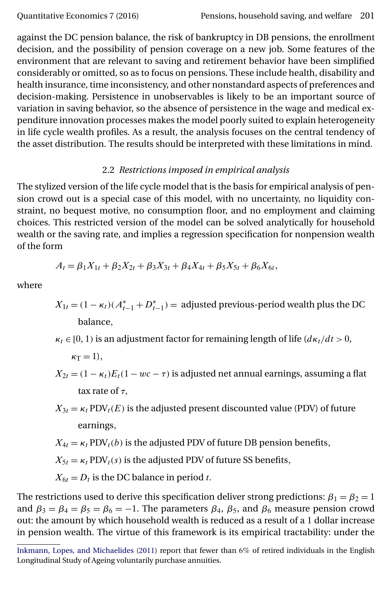<span id="page-8-0"></span>against the DC pension balance, the risk of bankruptcy in DB pensions, the enrollment decision, and the possibility of pension coverage on a new job. Some features of the environment that are relevant to saving and retirement behavior have been simplified considerably or omitted, so as to focus on pensions. These include health, disability and health insurance, time inconsistency, and other nonstandard aspects of preferences and decision-making. Persistence in unobservables is likely to be an important source of variation in saving behavior, so the absence of persistence in the wage and medical expenditure innovation processes makes the model poorly suited to explain heterogeneity in life cycle wealth profiles. As a result, the analysis focuses on the central tendency of the asset distribution. The results should be interpreted with these limitations in mind.

# 2.2 *Restrictions imposed in empirical analysis*

The stylized version of the life cycle model that is the basis for empirical analysis of pension crowd out is a special case of this model, with no uncertainty, no liquidity constraint, no bequest motive, no consumption floor, and no employment and claiming choices. This restricted version of the model can be solved analytically for household wealth or the saving rate, and implies a regression specification for nonpension wealth of the form

$$
A_t = \beta_1 X_{1t} + \beta_2 X_{2t} + \beta_3 X_{3t} + \beta_4 X_{4t} + \beta_5 X_{5t} + \beta_6 X_{6t},
$$

where

 $X_{1t} = (1 - \kappa_t)(A_{t-1}^* + D_{t-1}^*) =$  adjusted previous-period wealth plus the DC balance

 $\kappa_t \in [0, 1)$  is an adjustment factor for remaining length of life  $\frac{d\kappa_t}{dt} > 0$ ,

$$
\kappa_T=1),\quad
$$

- $X_{2t} = (1 \kappa_t)E_t(1 wc \tau)$  is adjusted net annual earnings, assuming a flat tax rate of  $\tau$ ,
- $X_{3t} = \kappa_t \text{PDV}_t(E)$  is the adjusted present discounted value (PDV) of future earnings
- $X_{4t} = \kappa_t \text{PDV}_t(b)$  is the adjusted PDV of future DB pension benefits,

 $X_{5t} = \kappa_t \text{PDV}_t(s)$  is the adjusted PDV of future SS benefits,

 $X_{6t} = D_t$  is the DC balance in period t.

The restrictions used to derive this specification deliver strong predictions:  $\beta_1 = \beta_2 = 1$ and  $\beta_3 = \beta_4 = \beta_5 = \beta_6 = -1$ . The parameters  $\beta_4$ ,  $\beta_5$ , and  $\beta_6$  measure pension crowd out: the amount by which household wealth is reduced as a result of a 1 dollar increase in pension wealth. The virtue of this framework is its empirical tractability: under the

[Inkmann, Lopes, and Michaelides](#page-31-0) [\(2011\)](#page-31-0) report that fewer than 6% of retired individuals in the English Longitudinal Study of Ageing voluntarily purchase annuities.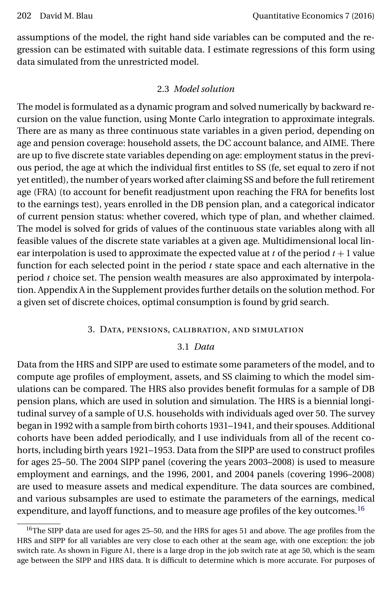<span id="page-9-0"></span>assumptions of the model, the right hand side variables can be computed and the regression can be estimated with suitable data. I estimate regressions of this form using data simulated from the unrestricted model.

# 2.3 *Model solution*

The model is formulated as a dynamic program and solved numerically by backward recursion on the value function, using Monte Carlo integration to approximate integrals. There are as many as three continuous state variables in a given period, depending on age and pension coverage: household assets, the DC account balance, and AIME. There are up to five discrete state variables depending on age: employment status in the previous period, the age at which the individual first entitles to SS (fe, set equal to zero if not yet entitled), the number of years worked after claiming SS and before the full retirement age (FRA) (to account for benefit readjustment upon reaching the FRA for benefits lost to the earnings test), years enrolled in the DB pension plan, and a categorical indicator of current pension status: whether covered, which type of plan, and whether claimed. The model is solved for grids of values of the continuous state variables along with all feasible values of the discrete state variables at a given age. Multidimensional local linear interpolation is used to approximate the expected value at  $t$  of the period  $t + 1$  value function for each selected point in the period  $t$  state space and each alternative in the period  $t$  choice set. The pension wealth measures are also approximated by interpolation. Appendix A in the Supplement provides further details on the solution method. For a given set of discrete choices, optimal consumption is found by grid search.

#### 3. Data, pensions, calibration, and simulation

# 3.1 *Data*

Data from the HRS and SIPP are used to estimate some parameters of the model, and to compute age profiles of employment, assets, and SS claiming to which the model simulations can be compared. The HRS also provides benefit formulas for a sample of DB pension plans, which are used in solution and simulation. The HRS is a biennial longitudinal survey of a sample of U.S. households with individuals aged over 50. The survey began in 1992 with a sample from birth cohorts 1931–1941, and their spouses. Additional cohorts have been added periodically, and I use individuals from all of the recent cohorts, including birth years 1921–1953. Data from the SIPP are used to construct profiles for ages 25–50. The 2004 SIPP panel (covering the years 2003–2008) is used to measure employment and earnings, and the 1996, 2001, and 2004 panels (covering 1996–2008) are used to measure assets and medical expenditure. The data sources are combined, and various subsamples are used to estimate the parameters of the earnings, medical expenditure, and layoff functions, and to measure age profiles of the key outcomes.<sup>16</sup>

<sup>&</sup>lt;sup>16</sup>The SIPP data are used for ages 25–50, and the HRS for ages 51 and above. The age profiles from the HRS and SIPP for all variables are very close to each other at the seam age, with one exception: the job switch rate. As shown in Figure A1, there is a large drop in the job switch rate at age 50, which is the seam age between the SIPP and HRS data. It is difficult to determine which is more accurate. For purposes of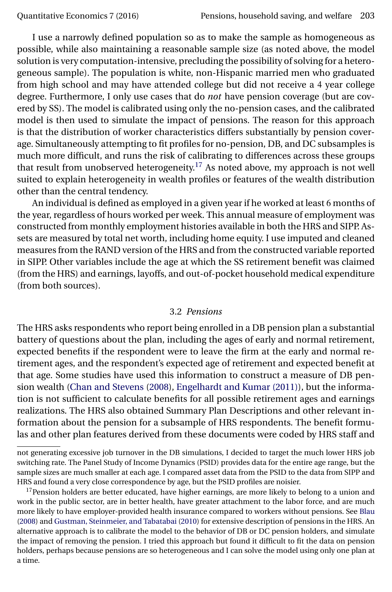<span id="page-10-0"></span>I use a narrowly defined population so as to make the sample as homogeneous as possible, while also maintaining a reasonable sample size (as noted above, the model solution is very computation-intensive, precluding the possibility of solving for a heterogeneous sample). The population is white, non-Hispanic married men who graduated from high school and may have attended college but did not receive a 4 year college degree. Furthermore, I only use cases that do *not* have pension coverage (but are covered by SS). The model is calibrated using only the no-pension cases, and the calibrated model is then used to simulate the impact of pensions. The reason for this approach is that the distribution of worker characteristics differs substantially by pension coverage. Simultaneously attempting to fit profiles for no-pension, DB, and DC subsamples is much more difficult, and runs the risk of calibrating to differences across these groups that result from unobserved heterogeneity.<sup>17</sup> As noted above, my approach is not well suited to explain heterogeneity in wealth profiles or features of the wealth distribution other than the central tendency.

An individual is defined as employed in a given year if he worked at least 6 months of the year, regardless of hours worked per week. This annual measure of employment was constructed from monthly employment histories available in both the HRS and SIPP. Assets are measured by total net worth, including home equity. I use imputed and cleaned measures from the RAND version of the HRS and from the constructed variable reported in SIPP. Other variables include the age at which the SS retirement benefit was claimed (from the HRS) and earnings, layoffs, and out-of-pocket household medical expenditure (from both sources).

# 3.2 *Pensions*

The HRS asks respondents who report being enrolled in a DB pension plan a substantial battery of questions about the plan, including the ages of early and normal retirement, expected benefits if the respondent were to leave the firm at the early and normal retirement ages, and the respondent's expected age of retirement and expected benefit at that age. Some studies have used this information to construct a measure of DB pension wealth [\(Chan and Stevens](#page-30-0) [\(2008\)](#page-30-0), [Engelhardt and Kumar \(2011\)\)](#page-30-0), but the information is not sufficient to calculate benefits for all possible retirement ages and earnings realizations. The HRS also obtained Summary Plan Descriptions and other relevant information about the pension for a subsample of HRS respondents. The benefit formulas and other plan features derived from these documents were coded by HRS staff and

not generating excessive job turnover in the DB simulations, I decided to target the much lower HRS job switching rate. The Panel Study of Income Dynamics (PSID) provides data for the entire age range, but the sample sizes are much smaller at each age. I compared asset data from the PSID to the data from SIPP and HRS and found a very close correspondence by age, but the PSID profiles are noisier.

 $17$ Pension holders are better educated, have higher earnings, are more likely to belong to a union and work in the public sector, are in better health, have greater attachment to the labor force, and are much more likely to have employer-provided health insurance compared to workers without pensions. See [Blau](#page-30-0) [\(2008\)](#page-30-0) and [Gustman, Steinmeier, and Tabatabai](#page-30-0) [\(2010\)](#page-30-0) for extensive description of pensions in the HRS. An alternative approach is to calibrate the model to the behavior of DB or DC pension holders, and simulate the impact of removing the pension. I tried this approach but found it difficult to fit the data on pension holders, perhaps because pensions are so heterogeneous and I can solve the model using only one plan at a time.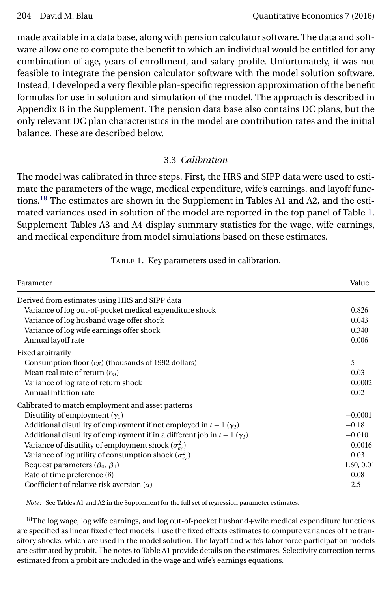<span id="page-11-0"></span>made available in a data base, along with pension calculator software. The data and software allow one to compute the benefit to which an individual would be entitled for any combination of age, years of enrollment, and salary profile. Unfortunately, it was not feasible to integrate the pension calculator software with the model solution software. Instead, I developed a very flexible plan-specific regression approximation of the benefit formulas for use in solution and simulation of the model. The approach is described in Appendix B in the Supplement. The pension data base also contains DC plans, but the only relevant DC plan characteristics in the model are contribution rates and the initial balance. These are described below.

# 3.3 *Calibration*

The model was calibrated in three steps. First, the HRS and SIPP data were used to estimate the parameters of the wage, medical expenditure, wife's earnings, and layoff functions.<sup>18</sup> The estimates are shown in the Supplement in Tables A1 and A2, and the estimated variances used in solution of the model are reported in the top panel of Table 1. Supplement Tables A3 and A4 display summary statistics for the wage, wife earnings, and medical expenditure from model simulations based on these estimates.

| Parameter                                                                         | Value      |
|-----------------------------------------------------------------------------------|------------|
| Derived from estimates using HRS and SIPP data                                    |            |
| Variance of log out-of-pocket medical expenditure shock                           | 0.826      |
| Variance of log husband wage offer shock                                          | 0.043      |
| Variance of log wife earnings offer shock                                         | 0.340      |
| Annual layoff rate                                                                | 0.006      |
| Fixed arbitrarily                                                                 |            |
| Consumption floor $(c_F)$ (thousands of 1992 dollars)                             | 5          |
| Mean real rate of return $(r_m)$                                                  | 0.03       |
| Variance of log rate of return shock                                              | 0.0002     |
| Annual inflation rate                                                             | 0.02       |
| Calibrated to match employment and asset patterns                                 |            |
| Disutility of employment $(\gamma_1)$                                             | $-0.0001$  |
| Additional disutility of employment if not employed in $t-1$ ( $\gamma_2$ )       | $-0.18$    |
| Additional disutility of employment if in a different job in $t-1$ ( $\gamma_3$ ) | $-0.010$   |
| Variance of disutility of employment shock $(\sigma_{\varepsilon}^2)$             | 0.0016     |
| Variance of log utility of consumption shock $(\sigma_{\varepsilon}^2)$           | 0.03       |
| Bequest parameters ( $\beta_0$ , $\beta_1$ )                                      | 1.60, 0.01 |
| Rate of time preference $(\delta)$                                                | 0.08       |
| Coefficient of relative risk aversion $(\alpha)$                                  | 2.5        |

| TABLE 1. Key parameters used in calibration. |  |  |
|----------------------------------------------|--|--|
|                                              |  |  |

*Note*: See Tables A1 and A2 in the Supplement for the full set of regression parameter estimates.

 $18$ The log wage, log wife earnings, and log out-of-pocket husband+wife medical expenditure functions are specified as linear fixed effect models. I use the fixed effects estimates to compute variances of the transitory shocks, which are used in the model solution. The layoff and wife's labor force participation models are estimated by probit. The notes to Table A1 provide details on the estimates. Selectivity correction terms estimated from a probit are included in the wage and wife's earnings equations.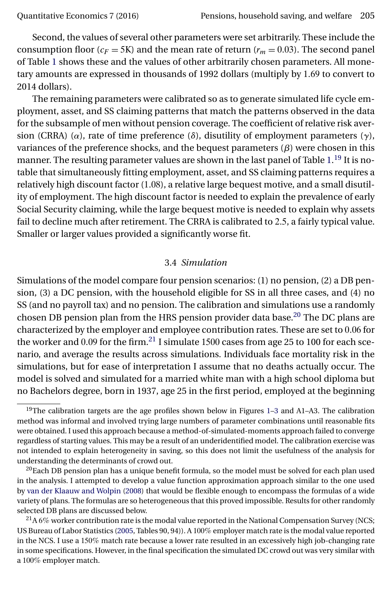<span id="page-12-0"></span>Second, the values of several other parameters were set arbitrarily. These include the consumption floor ( $c_F = 5K$ ) and the mean rate of return ( $r_m = 0.03$ ). The second panel of Table [1](#page-11-0) shows these and the values of other arbitrarily chosen parameters. All monetary amounts are expressed in thousands of 1992 dollars (multiply by 1-69 to convert to 2014 dollars).

The remaining parameters were calibrated so as to generate simulated life cycle employment, asset, and SS claiming patterns that match the patterns observed in the data for the subsample of men without pension coverage. The coefficient of relative risk aversion (CRRA) ( $\alpha$ ), rate of time preference ( $\delta$ ), disutility of employment parameters ( $\gamma$ ), variances of the preference shocks, and the bequest parameters  $(\beta)$  were chosen in this manner. The resulting parameter values are shown in the last panel of Table [1.](#page-11-0)<sup>19</sup> It is notable that simultaneously fitting employment, asset, and SS claiming patterns requires a relatively high discount factor (1-08), a relative large bequest motive, and a small disutility of employment. The high discount factor is needed to explain the prevalence of early Social Security claiming, while the large bequest motive is needed to explain why assets fail to decline much after retirement. The CRRA is calibrated to 2-5, a fairly typical value. Smaller or larger values provided a significantly worse fit.

### 3.4 *Simulation*

Simulations of the model compare four pension scenarios: (1) no pension, (2) a DB pension, (3) a DC pension, with the household eligible for SS in all three cases, and (4) no SS (and no payroll tax) and no pension. The calibration and simulations use a randomly chosen DB pension plan from the HRS pension provider data base.<sup>20</sup> The DC plans are characterized by the employer and employee contribution rates. These are set to 0-06 for the worker and  $0.09$  for the firm. $^{21}$  I simulate 1500 cases from age 25 to 100 for each scenario, and average the results across simulations. Individuals face mortality risk in the simulations, but for ease of interpretation I assume that no deaths actually occur. The model is solved and simulated for a married white man with a high school diploma but no Bachelors degree, born in 1937, age 25 in the first period, employed at the beginning

<sup>&</sup>lt;sup>19</sup>The calibration targets are the age profiles shown below in Figures  $1-3$  $1-3$  and A[1–](#page-13-0)A3. The calibration method was informal and involved trying large numbers of parameter combinations until reasonable fits were obtained. I used this approach because a method-of-simulated-moments approach failed to converge regardless of starting values. This may be a result of an underidentified model. The calibration exercise was not intended to explain heterogeneity in saving, so this does not limit the usefulness of the analysis for understanding the determinants of crowd out.

 $20$ Each DB pension plan has a unique benefit formula, so the model must be solved for each plan used in the analysis. I attempted to develop a value function approximation approach similar to the one used by [van der Klaauw and Wolpin](#page-31-0) [\(2008\)](#page-31-0) that would be flexible enough to encompass the formulas of a wide variety of plans. The formulas are so heterogeneous that this proved impossible. Results for other randomly selected DB plans are discussed below.

 $^{21}$ A 6% worker contribution rate is the modal value reported in the National Compensation Survey (NCS; US Bureau of Labor Statistics [\(2005,](#page-31-0) Tables 90, 94)). A 100% employer match rate is the modal value reported in the NCS. I use a 150% match rate because a lower rate resulted in an excessively high job-changing rate in some specifications. However, in the final specification the simulated DC crowd out was very similar with a 100% employer match.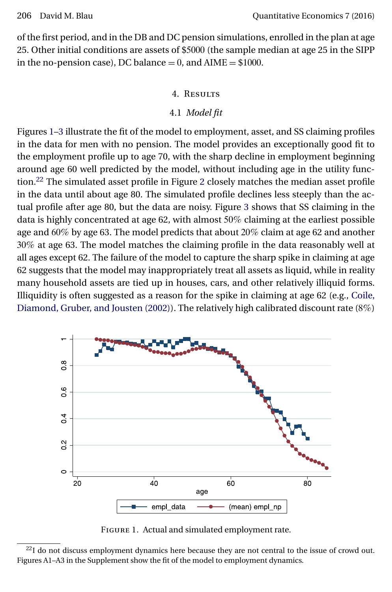<span id="page-13-0"></span>of the first period, and in the DB and DC pension simulations, enrolled in the plan at age 25. Other initial conditions are assets of \$5000 (the sample median at age 25 in the SIPP in the no-pension case), DC balance  $= 0$ , and AIME  $= $1000$ .

### 4. RESULTS

# 4.1 *Model fit*

Figures 1[–3](#page-14-0) illustrate the fit of the model to employment, asset, and SS claiming profiles in the data for men with no pension. The model provides an exceptionally good fit to the employment profile up to age 70, with the sharp decline in employment beginning around age 60 well predicted by the model, without including age in the utility func-tion.<sup>[2](#page-14-0)2</sup> The simulated asset profile in Figure 2 closely matches the median asset profile in the data until about age 80. The simulated profile declines less steeply than the actual profile after age 80, but the data are noisy. Figure [3](#page-14-0) shows that SS claiming in the data is highly concentrated at age 62, with almost 50% claiming at the earliest possible age and 60% by age 63. The model predicts that about 20% claim at age 62 and another 30% at age 63. The model matches the claiming profile in the data reasonably well at all ages except 62. The failure of the model to capture the sharp spike in claiming at age 62 suggests that the model may inappropriately treat all assets as liquid, while in reality many household assets are tied up in houses, cars, and other relatively illiquid forms. Illiquidity is often suggested as a reason for the spike in claiming at age 62 (e.g., [Coile,](#page-30-0) [Diamond, Gruber, and Jousten \(2002\)\)](#page-30-0). The relatively high calibrated discount rate (8%)



Figure 1. Actual and simulated employment rate.

<sup>&</sup>lt;sup>22</sup>I do not discuss employment dynamics here because they are not central to the issue of crowd out. Figures A1–A3 in the Supplement show the fit of the model to employment dynamics.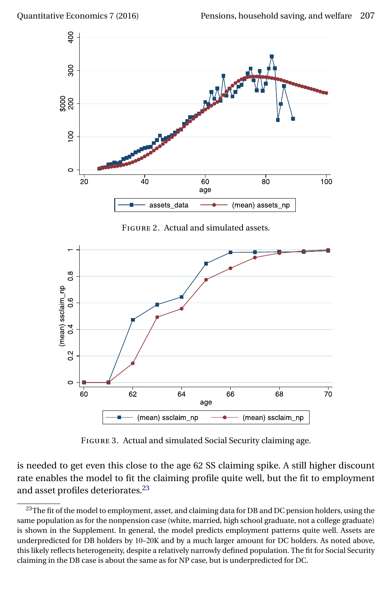$\frac{2}{2}$ 

60

 $62$ 

 $\overline{70}$ 

 $68$ 

(mean) ssclaim\_np

<span id="page-14-0"></span>

Figure 3. Actual and simulated Social Security claiming age.

age

66

 $64$ 

(mean) ssclaim\_np

is needed to get even this close to the age 62 SS claiming spike. A still higher discount rate enables the model to fit the claiming profile quite well, but the fit to employment and asset profiles deteriorates.<sup>23</sup>

 $^{23}$ The fit of the model to employment, asset, and claiming data for DB and DC pension holders, using the same population as for the nonpension case (white, married, high school graduate, not a college graduate) is shown in the Supplement. In general, the model predicts employment patterns quite well. Assets are underpredicted for DB holders by 10–20K and by a much larger amount for DC holders. As noted above, this likely reflects heterogeneity, despite a relatively narrowly defined population. The fit for Social Security claiming in the DB case is about the same as for NP case, but is underpredicted for DC.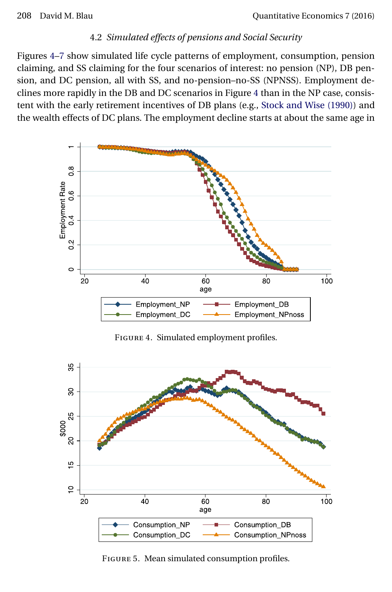# 4.2 *Simulated effects of pensions and Social Security*

<span id="page-15-0"></span>Figures 4[–7](#page-16-0) show simulated life cycle patterns of employment, consumption, pension claiming, and SS claiming for the four scenarios of interest: no pension (NP), DB pension, and DC pension, all with SS, and no-pension–no-SS (NPNSS). Employment declines more rapidly in the DB and DC scenarios in Figure 4 than in the NP case, consistent with the early retirement incentives of DB plans (e.g., [Stock and Wise \(1990\)\)](#page-31-0) and the wealth effects of DC plans. The employment decline starts at about the same age in



Figure 4. Simulated employment profiles.



Figure 5. Mean simulated consumption profiles.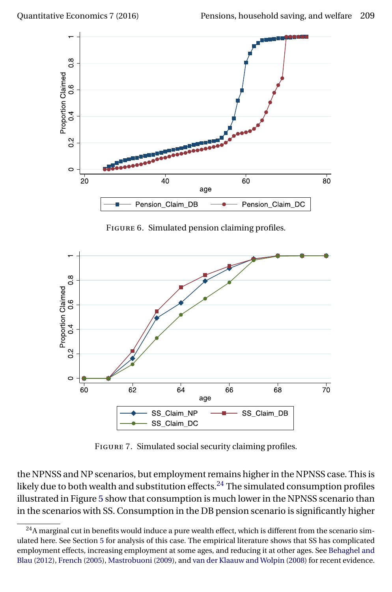<span id="page-16-0"></span>

FIGURE 6. Simulated pension claiming profiles.



Figure 7. Simulated social security claiming profiles.

the NPNSS and NP scenarios, but employment remains higher in the NPNSS case. This is likely due to both wealth and substitution effects.<sup>24</sup> The simulated consumption profiles illustrated in Figure [5](#page-15-0) show that consumption is much lower in the NPNSS scenario than in the scenarios with SS. Consumption in the DB pension scenario is significantly higher

<sup>&</sup>lt;sup>24</sup>A marginal cut in benefits would induce a pure wealth effect, which is different from the scenario simulated here. See Section [5](#page-27-0) for analysis of this case. The empirical literature shows that SS has complicated employment effects, increasing employment at some ages, and reducing it at other ages. See [Behaghel and](#page-29-0) [Blau](#page-29-0) [\(2012\)](#page-29-0), [French](#page-30-0) [\(2005\)](#page-30-0), [Mastrobuoni](#page-31-0) [\(2009\)](#page-31-0), and [van der Klaauw and Wolpin](#page-31-0) [\(2008\)](#page-31-0) for recent evidence.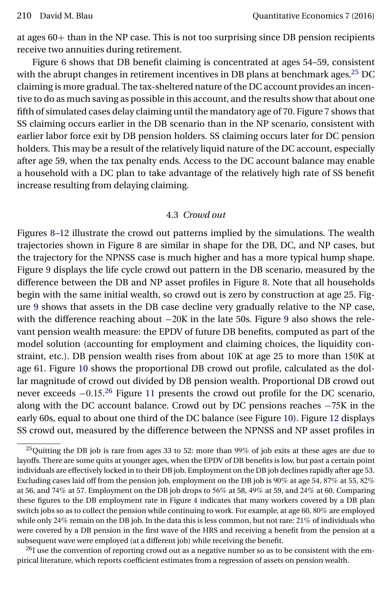at ages 60+ than in the NP case. This is not too surprising since DB pension recipients receive two annuities during retirement.

Figure [6](#page-16-0) shows that DB benefit claiming is concentrated at ages 54–59, consistent with the abrupt changes in retirement incentives in DB plans at benchmark ages.<sup>25</sup> DC claiming is more gradual. The tax-sheltered nature of the DC account provides an incentive to do as much saving as possible in this account, and the results show that about one fifth of simulated cases delay claiming until the mandatory age of 70. Figure [7](#page-16-0) shows that SS claiming occurs earlier in the DB scenario than in the NP scenario, consistent with earlier labor force exit by DB pension holders. SS claiming occurs later for DC pension holders. This may be a result of the relatively liquid nature of the DC account, especially after age 59, when the tax penalty ends. Access to the DC account balance may enable a household with a DC plan to take advantage of the relatively high rate of SS benefit increase resulting from delaying claiming.

#### 4.3 *Crowd out*

Figures [8–](#page-18-0)[12](#page-20-0) illustrate the crowd out patterns implied by the simulations. The wealth trajectories shown in Figure [8](#page-18-0) are similar in shape for the DB, DC, and NP cases, but the trajectory for the NPNSS case is much higher and has a more typical hump shape. Figure [9](#page-18-0) displays the life cycle crowd out pattern in the DB scenario, measured by the difference between the DB and NP asset profiles in Figure [8.](#page-18-0) Note that all households begin with the same initial wealth, so crowd out is zero by construction at age 25. Figure [9](#page-18-0) shows that assets in the DB case decline very gradually relative to the NP case, with the difference reaching about −20K in the late 50s. Figure [9](#page-18-0) also shows the relevant pension wealth measure: the EPDV of future DB benefits, computed as part of the model solution (accounting for employment and claiming choices, the liquidity constraint, etc.). DB pension wealth rises from about 10K at age 25 to more than 150K at age 61. Figure [10](#page-19-0) shows the proportional DB crowd out profile, calculated as the dollar magnitude of crowd out divided by DB pension wealth. Proportional DB crowd out never exceeds –0.15.<sup>26</sup> Figure [11](#page-19-0) presents the crowd out profile for the DC scenario, along with the DC account balance. Crowd out by DC pensions reaches −75K in the early 60s, equal to about one third of the DC balance (see Figure [10\)](#page-19-0). Figure [12](#page-20-0) displays SS crowd out, measured by the difference between the NPNSS and NP asset profiles in

<sup>&</sup>lt;sup>25</sup>Quitting the DB job is rare from ages 33 to 52: more than  $99\%$  of job exits at these ages are due to layoffs. There are some quits at younger ages, when the EPDV of DB benefits is low, but past a certain point individuals are effectively locked in to their DB job. Employment on the DB job declines rapidly after age 53. Excluding cases laid off from the pension job, employment on the DB job is 90% at age 54, 87% at 55, 82% at 56, and 74% at 57. Employment on the DB job drops to 56% at 58, 49% at 59, and 24% at 60. Comparing these figures to the DB employment rate in Figure [4](#page-15-0) indicates that many workers covered by a DB plan switch jobs so as to collect the pension while continuing to work. For example, at age 60, 80% are employed while only 24% remain on the DB job. In the data this is less common, but not rare: 21% of individuals who were covered by a DB pension in the first wave of the HRS and receiving a benefit from the pension at a subsequent wave were employed (at a different job) while receiving the benefit.

<sup>&</sup>lt;sup>26</sup>I use the convention of reporting crowd out as a negative number so as to be consistent with the empirical literature, which reports coefficient estimates from a regression of assets on pension wealth.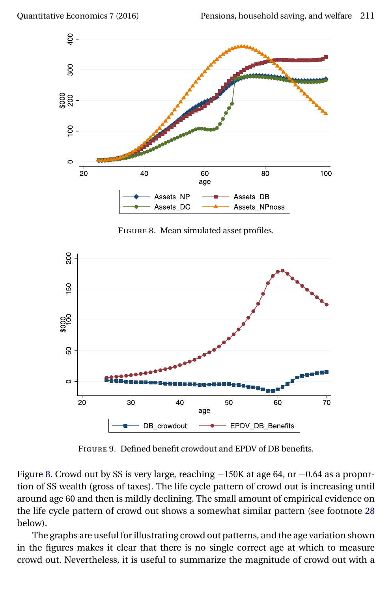<span id="page-18-0"></span>

Figure 8. Mean simulated asset profiles.



Figure 9. Defined benefit crowdout and EPDV of DB benefits.

Figure 8. Crowd out by SS is very large, reaching −150K at age 64, or −0-64 as a proportion of SS wealth (gross of taxes). The life cycle pattern of crowd out is increasing until around age 60 and then is mildly declining. The small amount of empirical evidence on the life cycle pattern of crowd out shows a somewhat similar pattern (see footnote [28](#page-21-0) below).

The graphs are useful for illustrating crowd out patterns, and the age variation shown in the figures makes it clear that there is no single correct age at which to measure crowd out. Nevertheless, it is useful to summarize the magnitude of crowd out with a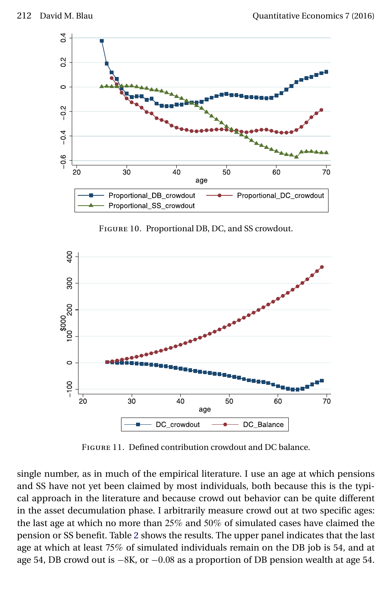<span id="page-19-0"></span>

Figure 10. Proportional DB, DC, and SS crowdout.



Figure 11. Defined contribution crowdout and DC balance.

single number, as in much of the empirical literature. I use an age at which pensions and SS have not yet been claimed by most individuals, both because this is the typical approach in the literature and because crowd out behavior can be quite different in the asset decumulation phase. I arbitrarily measure crowd out at two specific ages: the last age at which no more than 25% and 50% of simulated cases have claimed the pension or SS benefit. Table [2](#page-20-0) shows the results. The upper panel indicates that the last age at which at least 75% of simulated individuals remain on the DB job is 54, and at age 54, DB crowd out is −8K, or −0-08 as a proportion of DB pension wealth at age 54.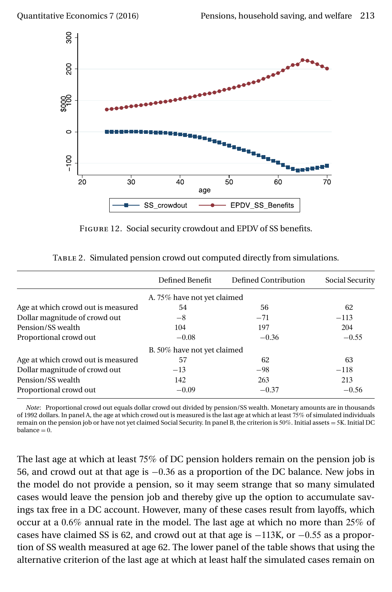<span id="page-20-0"></span>

Figure 12. Social security crowdout and EPDV of SS benefits.

|                                    | Defined Benefit             | Defined Contribution | Social Security |
|------------------------------------|-----------------------------|----------------------|-----------------|
|                                    | A. 75% have not yet claimed |                      |                 |
| Age at which crowd out is measured | 54                          | 56                   | 62              |
| Dollar magnitude of crowd out      | $-8$                        | $-71$                | $-113$          |
| Pension/SS wealth                  | 104                         | 197                  | 204             |
| Proportional crowd out             | $-0.08$                     | $-0.36$              | $-0.55$         |
|                                    | B. 50% have not yet claimed |                      |                 |
| Age at which crowd out is measured | 57                          | 62                   | 63              |
| Dollar magnitude of crowd out      | $-13$                       | $-98$                | $-118$          |
| Pension/SS wealth                  | 142                         | 263                  | 213             |
| Proportional crowd out             | $-0.09$                     | $-0.37$              | $-0.56$         |
|                                    |                             |                      |                 |

Table 2. Simulated pension crowd out computed directly from simulations.

*Note*: Proportional crowd out equals dollar crowd out divided by pension/SS wealth. Monetary amounts are in thousands of 1992 dollars. In panel A, the age at which crowd out is measured is the last age at which at least 75% of simulated individuals remain on the pension job or have not yet claimed Social Security. In panel B, the criterion is 50%. Initial assets = 5K. Initial DC balance  $= 0$ .

The last age at which at least 75% of DC pension holders remain on the pension job is 56, and crowd out at that age is −0-36 as a proportion of the DC balance. New jobs in the model do not provide a pension, so it may seem strange that so many simulated cases would leave the pension job and thereby give up the option to accumulate savings tax free in a DC account. However, many of these cases result from layoffs, which occur at a  $0.6\%$  annual rate in the model. The last age at which no more than 25% of cases have claimed SS is 62, and crowd out at that age is  $-113K$ , or  $-0.55$  as a proportion of SS wealth measured at age 62. The lower panel of the table shows that using the alternative criterion of the last age at which at least half the simulated cases remain on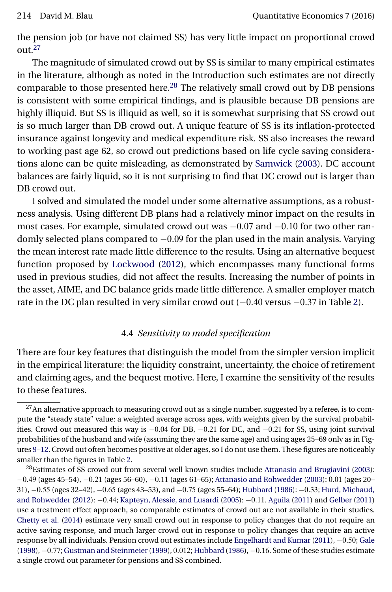<span id="page-21-0"></span>the pension job (or have not claimed SS) has very little impact on proportional crowd  $\alpha$ ut.<sup>27</sup>

The magnitude of simulated crowd out by SS is similar to many empirical estimates in the literature, although as noted in the Introduction such estimates are not directly comparable to those presented here.<sup>28</sup> The relatively small crowd out by DB pensions is consistent with some empirical findings, and is plausible because DB pensions are highly illiquid. But SS is illiquid as well, so it is somewhat surprising that SS crowd out is so much larger than DB crowd out. A unique feature of SS is its inflation-protected insurance against longevity and medical expenditure risk. SS also increases the reward to working past age 62, so crowd out predictions based on life cycle saving considerations alone can be quite misleading, as demonstrated by [Samwick](#page-31-0) [\(2003\)](#page-31-0). DC account balances are fairly liquid, so it is not surprising to find that DC crowd out is larger than DB crowd out.

I solved and simulated the model under some alternative assumptions, as a robustness analysis. Using different DB plans had a relatively minor impact on the results in most cases. For example, simulated crowd out was  $-0.07$  and  $-0.10$  for two other randomly selected plans compared to −0-09 for the plan used in the main analysis. Varying the mean interest rate made little difference to the results. Using an alternative bequest function proposed by [Lockwood](#page-31-0) [\(2012\)](#page-31-0), which encompasses many functional forms used in previous studies, did not affect the results. Increasing the number of points in the asset, AIME, and DC balance grids made little difference. A smaller employer match rate in the DC plan resulted in very similar crowd out (−0-40 versus −0-37 in Table [2\)](#page-20-0).

#### 4.4 *Sensitivity to model specification*

There are four key features that distinguish the model from the simpler version implicit in the empirical literature: the liquidity constraint, uncertainty, the choice of retirement and claiming ages, and the bequest motive. Here, I examine the sensitivity of the results to these features.

 $^{27}$ An alternative approach to measuring crowd out as a single number, suggested by a referee, is to compute the "steady state" value: a weighted average across ages, with weights given by the survival probabilities. Crowd out measured this way is −0-04 for DB, −0-21 for DC, and −0-21 for SS, using joint survival probabilities of the husband and wife (assuming they are the same age) and using ages 25–69 only as in Figures [9](#page-18-0)[–12.](#page-20-0) Crowd out often becomes positive at older ages, so I do not use them. These figures are noticeably smaller than the figures in Table [2.](#page-20-0)

 $^{28}$ Estimates of SS crowd out from several well known studies include [Attanasio and Brugiavini](#page-29-0) [\(2003\)](#page-29-0): −0-49 (ages 45–54), −0-21 (ages 56–60), −0-11 (ages 61–65); [Attanasio and Rohwedder](#page-29-0) [\(2003\)](#page-29-0): 0-01 (ages 20– 31), −0-55 (ages 32–42), −0-65 (ages 43–53), and −0-75 (ages 55–64); [Hubbard](#page-30-0) [\(1986\)](#page-30-0): −0-33; [Hurd, Michaud,](#page-30-0) [and Rohwedder](#page-30-0) [\(2012\)](#page-30-0): −0-44; [Kapteyn, Alessie, and Lusardi](#page-31-0) [\(2005\)](#page-31-0): −0-11. [Aguila](#page-29-0) [\(2011\)](#page-29-0) and [Gelber](#page-30-0) [\(2011\)](#page-30-0) use a treatment effect approach, so comparable estimates of crowd out are not available in their studies. [Chetty et al.](#page-30-0) [\(2014\)](#page-30-0) estimate very small crowd out in response to policy changes that do not require an active saving response, and much larger crowd out in response to policy changes that require an active response by all individuals. Pension crowd out estimates include [Engelhardt and Kumar](#page-30-0) [\(2011\)](#page-30-0), −0-50; [Gale](#page-30-0) [\(1998\)](#page-30-0), −0-77; [Gustman and Steinmeier\(1999\)](#page-30-0), 0-012; [Hubbard](#page-30-0) [\(1986\)](#page-30-0), −0-16. Some of these studies estimate a single crowd out parameter for pensions and SS combined.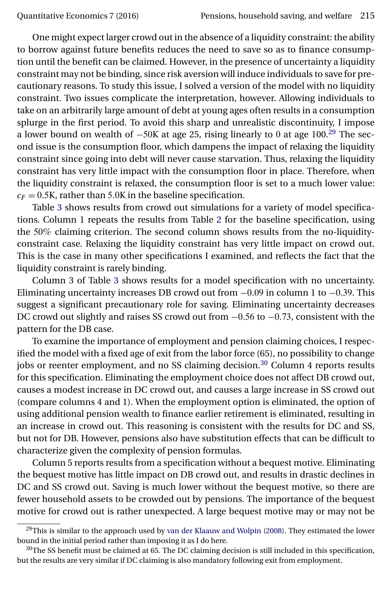<span id="page-22-0"></span>One might expect larger crowd out in the absence of a liquidity constraint: the ability to borrow against future benefits reduces the need to save so as to finance consumption until the benefit can be claimed. However, in the presence of uncertainty a liquidity constraint may not be binding, since risk aversion will induce individuals to save for precautionary reasons. To study this issue, I solved a version of the model with no liquidity constraint. Two issues complicate the interpretation, however. Allowing individuals to take on an arbitrarily large amount of debt at young ages often results in a consumption splurge in the first period. To avoid this sharp and unrealistic discontinuity, I impose a lower bound on wealth of  $-50K$  at age 25, rising linearly to 0 at age 100.<sup>29</sup> The second issue is the consumption floor, which dampens the impact of relaxing the liquidity constraint since going into debt will never cause starvation. Thus, relaxing the liquidity constraint has very little impact with the consumption floor in place. Therefore, when the liquidity constraint is relaxed, the consumption floor is set to a much lower value:  $c_F = 0.5$ K, rather than 5.0K in the baseline specification.

Table [3](#page-23-0) shows results from crowd out simulations for a variety of model specifications. Column 1 repeats the results from Table [2](#page-20-0) for the baseline specification, using the 50% claiming criterion. The second column shows results from the no-liquidityconstraint case. Relaxing the liquidity constraint has very little impact on crowd out. This is the case in many other specifications I examined, and reflects the fact that the liquidity constraint is rarely binding.

Column 3 of Table [3](#page-23-0) shows results for a model specification with no uncertainty. Eliminating uncertainty increases DB crowd out from −0-09 in column 1 to −0-39. This suggest a significant precautionary role for saving. Eliminating uncertainty decreases DC crowd out slightly and raises SS crowd out from  $-0.56$  to  $-0.73$ , consistent with the pattern for the DB case.

To examine the importance of employment and pension claiming choices, I respecified the model with a fixed age of exit from the labor force (65), no possibility to change jobs or reenter employment, and no SS claiming decision.<sup>30</sup> Column 4 reports results for this specification. Eliminating the employment choice does not affect DB crowd out, causes a modest increase in DC crowd out, and causes a large increase in SS crowd out (compare columns 4 and 1). When the employment option is eliminated, the option of using additional pension wealth to finance earlier retirement is eliminated, resulting in an increase in crowd out. This reasoning is consistent with the results for DC and SS, but not for DB. However, pensions also have substitution effects that can be difficult to characterize given the complexity of pension formulas.

Column 5 reports results from a specification without a bequest motive. Eliminating the bequest motive has little impact on DB crowd out, and results in drastic declines in DC and SS crowd out. Saving is much lower without the bequest motive, so there are fewer household assets to be crowded out by pensions. The importance of the bequest motive for crowd out is rather unexpected. A large bequest motive may or may not be

 $^{29}$ This is similar to the approach used by [van der Klaauw and Wolpin](#page-31-0) [\(2008\)](#page-31-0). They estimated the lower bound in the initial period rather than imposing it as I do here.

<sup>&</sup>lt;sup>30</sup>The SS benefit must be claimed at 65. The DC claiming decision is still included in this specification, but the results are very similar if DC claiming is also mandatory following exit from employment.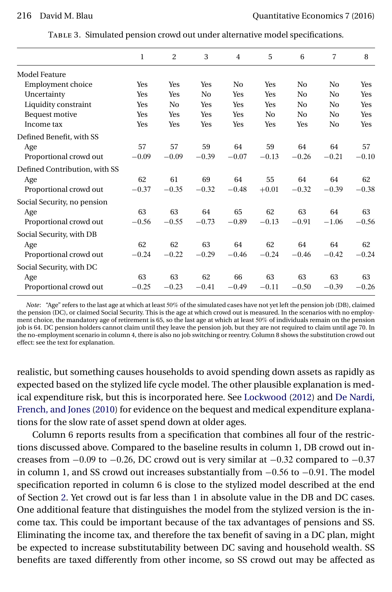<span id="page-23-0"></span>

|                               | $\mathbf 1$ | 2       | 3       | 4       | 5          | 6       | $\overline{7}$ | 8       |
|-------------------------------|-------------|---------|---------|---------|------------|---------|----------------|---------|
| Model Feature                 |             |         |         |         |            |         |                |         |
| Employment choice             | Yes         | Yes     | Yes     | No      | <b>Yes</b> | No      | No             | Yes     |
| Uncertainty                   | Yes         | Yes     | No      | Yes     | Yes        | No      | No             | Yes     |
| Liquidity constraint          | Yes         | No      | Yes     | Yes     | Yes        | No      | No             | Yes     |
| Bequest motive                | Yes         | Yes     | Yes     | Yes     | No         | No      | No             | Yes     |
| Income tax                    | Yes         | Yes     | Yes     | Yes     | Yes        | Yes     | No             | Yes     |
| Defined Benefit, with SS      |             |         |         |         |            |         |                |         |
| Age                           | 57          | 57      | 59      | 64      | 59         | 64      | 64             | 57      |
| Proportional crowd out        | $-0.09$     | $-0.09$ | $-0.39$ | $-0.07$ | $-0.13$    | $-0.26$ | $-0.21$        | $-0.10$ |
| Defined Contribution, with SS |             |         |         |         |            |         |                |         |
| Age                           | 62          | 61      | 69      | 64      | 55         | 64      | 64             | 62      |
| Proportional crowd out        | $-0.37$     | $-0.35$ | $-0.32$ | $-0.48$ | $+0.01$    | $-0.32$ | $-0.39$        | $-0.38$ |
| Social Security, no pension   |             |         |         |         |            |         |                |         |
| Age                           | 63          | 63      | 64      | 65      | 62         | 63      | 64             | 63      |
| Proportional crowd out        | $-0.56$     | $-0.55$ | $-0.73$ | $-0.89$ | $-0.13$    | $-0.91$ | $-1.06$        | $-0.56$ |
| Social Security, with DB      |             |         |         |         |            |         |                |         |
| Age                           | 62          | 62      | 63      | 64      | 62         | 64      | 64             | 62      |
| Proportional crowd out        | $-0.24$     | $-0.22$ | $-0.29$ | $-0.46$ | $-0.24$    | $-0.46$ | $-0.42$        | $-0.24$ |
| Social Security, with DC      |             |         |         |         |            |         |                |         |
| Age                           | 63          | 63      | 62      | 66      | 63         | 63      | 63             | 63      |
| Proportional crowd out        | $-0.25$     | $-0.23$ | $-0.41$ | $-0.49$ | $-0.11$    | $-0.50$ | $-0.39$        | $-0.26$ |

Table 3. Simulated pension crowd out under alternative model specifications.

*Note*: "Age" refers to the last age at which at least 50% of the simulated cases have not yet left the pension job (DB), claimed the pension (DC), or claimed Social Security. This is the age at which crowd out is measured. In the scenarios with no employment choice, the mandatory age of retirement is 65, so the last age at which at least 50% of individuals remain on the pension job is 64. DC pension holders cannot claim until they leave the pension job, but they are not required to claim until age 70. In the no-employment scenario in column 4, there is also no job switching or reentry. Column 8 shows the substitution crowd out effect: see the text for explanation.

realistic, but something causes households to avoid spending down assets as rapidly as expected based on the stylized life cycle model. The other plausible explanation is medical expenditure risk, but this is incorporated here. See [Lockwood](#page-31-0) [\(2012\)](#page-31-0) and [De Nardi,](#page-30-0) [French, and Jones](#page-30-0) [\(2010\)](#page-30-0) for evidence on the bequest and medical expenditure explanations for the slow rate of asset spend down at older ages.

Column 6 reports results from a specification that combines all four of the restrictions discussed above. Compared to the baseline results in column 1, DB crowd out increases from  $-0.09$  to  $-0.26$ , DC crowd out is very similar at  $-0.32$  compared to  $-0.37$ in column 1, and SS crowd out increases substantially from −0-56 to −0-91. The model specification reported in column 6 is close to the stylized model described at the end of Section [2.](#page-4-0) Yet crowd out is far less than 1 in absolute value in the DB and DC cases. One additional feature that distinguishes the model from the stylized version is the income tax. This could be important because of the tax advantages of pensions and SS. Eliminating the income tax, and therefore the tax benefit of saving in a DC plan, might be expected to increase substitutability between DC saving and household wealth. SS benefits are taxed differently from other income, so SS crowd out may be affected as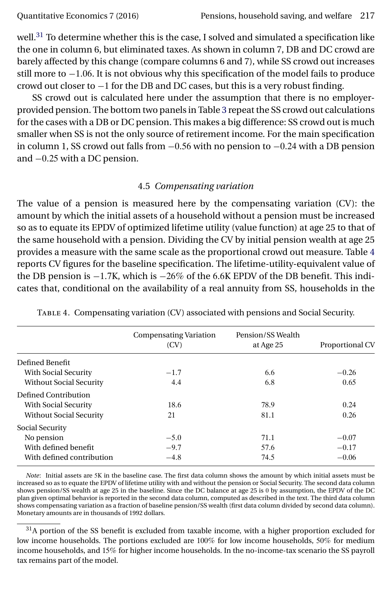<span id="page-24-0"></span>

well.<sup>31</sup> To determine whether this is the case, I solved and simulated a specification like the one in column 6, but eliminated taxes. As shown in column 7, DB and DC crowd are barely affected by this change (compare columns 6 and 7), while SS crowd out increases still more to −1-06. It is not obvious why this specification of the model fails to produce crowd out closer to −1 for the DB and DC cases, but this is a very robust finding.

SS crowd out is calculated here under the assumption that there is no employerprovided pension. The bottom two panels in Table [3](#page-23-0) repeat the SS crowd out calculations for the cases with a DB or DC pension. This makes a big difference: SS crowd out is much smaller when SS is not the only source of retirement income. For the main specification in column 1, SS crowd out falls from −0-56 with no pension to −0-24 with a DB pension and −0-25 with a DC pension.

### 4.5 *Compensating variation*

The value of a pension is measured here by the compensating variation (CV): the amount by which the initial assets of a household without a pension must be increased so as to equate its EPDV of optimized lifetime utility (value function) at age 25 to that of the same household with a pension. Dividing the CV by initial pension wealth at age 25 provides a measure with the same scale as the proportional crowd out measure. Table 4 reports CV figures for the baseline specification. The lifetime-utility-equivalent value of the DB pension is −1-7K, which is −26% of the 6-6K EPDV of the DB benefit. This indicates that, conditional on the availability of a real annuity from SS, households in the

|                                | <b>Compensating Variation</b><br>(CV) | Pension/SS Wealth<br>at Age 25 | Proportional CV |
|--------------------------------|---------------------------------------|--------------------------------|-----------------|
| Defined Benefit                |                                       |                                |                 |
| With Social Security           | $-1.7$                                | 6.6                            | $-0.26$         |
| <b>Without Social Security</b> | 4.4                                   | 6.8                            | 0.65            |
| Defined Contribution           |                                       |                                |                 |
| With Social Security           | 18.6                                  | 78.9                           | 0.24            |
| <b>Without Social Security</b> | 21                                    | 81.1                           | 0.26            |
| Social Security                |                                       |                                |                 |
| No pension                     | $-5.0$                                | 71.1                           | $-0.07$         |
| With defined benefit           | $-9.7$                                | 57.6                           | $-0.17$         |
| With defined contribution      | $-4.8$                                | 74.5                           | $-0.06$         |

Table 4. Compensating variation (CV) associated with pensions and Social Security.

*Note*: Initial assets are 5K in the baseline case. The first data column shows the amount by which initial assets must be increased so as to equate the EPDV of lifetime utility with and without the pension or Social Security. The second data column shows pension/SS wealth at age 25 in the baseline. Since the DC balance at age 25 is 0 by assumption, the EPDV of the DC plan given optimal behavior is reported in the second data column, computed as described in the text. The third data column shows compensating variation as a fraction of baseline pension/SS wealth (first data column divided by second data column). Monetary amounts are in thousands of 1992 dollars.

 $31A$  portion of the SS benefit is excluded from taxable income, with a higher proportion excluded for low income households. The portions excluded are 100% for low income households, 50% for medium income households, and 15% for higher income households. In the no-income-tax scenario the SS payroll tax remains part of the model.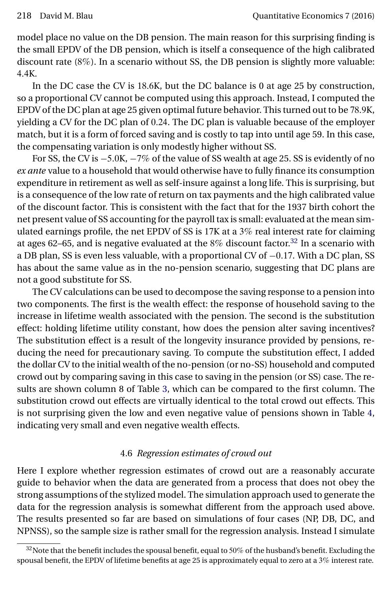model place no value on the DB pension. The main reason for this surprising finding is the small EPDV of the DB pension, which is itself a consequence of the high calibrated discount rate (8%). In a scenario without SS, the DB pension is slightly more valuable: 4.4K.

In the DC case the CV is 18.6K, but the DC balance is 0 at age 25 by construction, so a proportional CV cannot be computed using this approach. Instead, I computed the EPDV of the DC plan at age 25 given optimal future behavior. This turned out to be 78-9K, yielding a CV for the DC plan of 0-24. The DC plan is valuable because of the employer match, but it is a form of forced saving and is costly to tap into until age 59. In this case, the compensating variation is only modestly higher without SS.

For SS, the CV is −5-0K, −7% of the value of SS wealth at age 25. SS is evidently of no *ex ante* value to a household that would otherwise have to fully finance its consumption expenditure in retirement as well as self-insure against a long life. This is surprising, but is a consequence of the low rate of return on tax payments and the high calibrated value of the discount factor. This is consistent with the fact that for the 1937 birth cohort the net present value of SS accounting for the payroll tax is small: evaluated at the mean simulated earnings profile, the net EPDV of SS is 17K at a 3% real interest rate for claiming at ages 62–65, and is negative evaluated at the 8% discount factor.<sup>32</sup> In a scenario with a DB plan, SS is even less valuable, with a proportional CV of −0-17. With a DC plan, SS has about the same value as in the no-pension scenario, suggesting that DC plans are not a good substitute for SS.

The CV calculations can be used to decompose the saving response to a pension into two components. The first is the wealth effect: the response of household saving to the increase in lifetime wealth associated with the pension. The second is the substitution effect: holding lifetime utility constant, how does the pension alter saving incentives? The substitution effect is a result of the longevity insurance provided by pensions, reducing the need for precautionary saving. To compute the substitution effect, I added the dollar CV to the initial wealth of the no-pension (or no-SS) household and computed crowd out by comparing saving in this case to saving in the pension (or SS) case. The results are shown column 8 of Table [3,](#page-23-0) which can be compared to the first column. The substitution crowd out effects are virtually identical to the total crowd out effects. This is not surprising given the low and even negative value of pensions shown in Table [4,](#page-24-0) indicating very small and even negative wealth effects.

# 4.6 *Regression estimates of crowd out*

Here I explore whether regression estimates of crowd out are a reasonably accurate guide to behavior when the data are generated from a process that does not obey the strong assumptions of the stylized model. The simulation approach used to generate the data for the regression analysis is somewhat different from the approach used above. The results presented so far are based on simulations of four cases (NP, DB, DC, and NPNSS), so the sample size is rather small for the regression analysis. Instead I simulate

<sup>&</sup>lt;sup>32</sup>Note that the benefit includes the spousal benefit, equal to 50% of the husband's benefit. Excluding the spousal benefit, the EPDV of lifetime benefits at age 25 is approximately equal to zero at a 3% interest rate.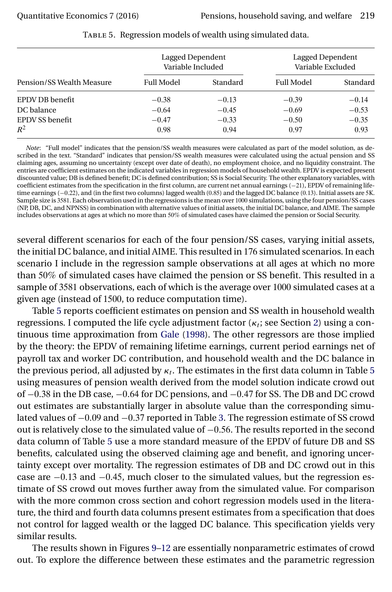<span id="page-26-0"></span>

|                           | Lagged Dependent<br>Variable Included |          | Lagged Dependent<br>Variable Excluded |          |  |
|---------------------------|---------------------------------------|----------|---------------------------------------|----------|--|
| Pension/SS Wealth Measure | <b>Full Model</b>                     | Standard | <b>Full Model</b>                     | Standard |  |
| EPDV DB benefit           | $-0.38$                               | $-0.13$  | $-0.39$                               | $-0.14$  |  |
| DC balance                | $-0.64$                               | $-0.45$  | $-0.69$                               | $-0.53$  |  |
| EPDV SS benefit           | $-0.47$                               | $-0.33$  | $-0.50$                               | $-0.35$  |  |
| $R^2$                     | 0.98                                  | 0.94     | 0.97                                  | 0.93     |  |

| TABLE 5. Regression models of wealth using simulated data. |  |  |  |
|------------------------------------------------------------|--|--|--|
|                                                            |  |  |  |

*Note*: "Full model" indicates that the pension/SS wealth measures were calculated as part of the model solution, as described in the text. "Standard" indicates that pension/SS wealth measures were calculated using the actual pension and SS claiming ages, assuming no uncertainty (except over date of death), no employment choice, and no liquidity constraint. The entries are coefficient estimates on the indicated variables in regression models of household wealth. EPDV is expected present discounted value; DB is defined benefit; DC is defined contribution; SS is Social Security. The other explanatory variables, with coefficient estimates from the specification in the first column, are current net annual earnings (−21), EPDV of remaining lifetime earnings (–0.22), and (in the first two columns) lagged wealth (0.85) and the lagged DC balance (0.13). Initial assets are 5K. Sample size is 3581. Each observation used in the regressions is the mean over 1000 simulations, using the four pension/SS cases (NP, DB, DC, and NPNSS) in combination with alternative values of initial assets, the initial DC balance, and AIME. The sample includes observations at ages at which no more than 50% of simulated cases have claimed the pension or Social Security.

several different scenarios for each of the four pension/SS cases, varying initial assets, the initial DC balance, and initial AIME. This resulted in 176 simulated scenarios. In each scenario I include in the regression sample observations at all ages at which no more than 50% of simulated cases have claimed the pension or SS benefit. This resulted in a sample of 3581 observations, each of which is the average over 1000 simulated cases at a given age (instead of 1500, to reduce computation time).

Table 5 reports coefficient estimates on pension and SS wealth in household wealth regressions. I computed the life cycle adjustment factor ( $\kappa_i$ ; see Section [2\)](#page-4-0) using a continuous time approximation from [Gale](#page-30-0) [\(1998\)](#page-30-0). The other regressors are those implied by the theory: the EPDV of remaining lifetime earnings, current period earnings net of payroll tax and worker DC contribution, and household wealth and the DC balance in the previous period, all adjusted by  $\kappa_t$ . The estimates in the first data column in Table 5 using measures of pension wealth derived from the model solution indicate crowd out of −0-38 in the DB case, −0-64 for DC pensions, and −0-47 for SS. The DB and DC crowd out estimates are substantially larger in absolute value than the corresponding simulated values of −0-09 and −0-37 reported in Table [3.](#page-23-0) The regression estimate of SS crowd out is relatively close to the simulated value of -0.56. The results reported in the second data column of Table 5 use a more standard measure of the EPDV of future DB and SS benefits, calculated using the observed claiming age and benefit, and ignoring uncertainty except over mortality. The regression estimates of DB and DC crowd out in this case are −0-13 and −0-45, much closer to the simulated values, but the regression estimate of SS crowd out moves further away from the simulated value. For comparison with the more common cross section and cohort regression models used in the literature, the third and fourth data columns present estimates from a specification that does not control for lagged wealth or the lagged DC balance. This specification yields very similar results.

The results shown in Figures [9–](#page-18-0)[12](#page-20-0) are essentially nonparametric estimates of crowd out. To explore the difference between these estimates and the parametric regression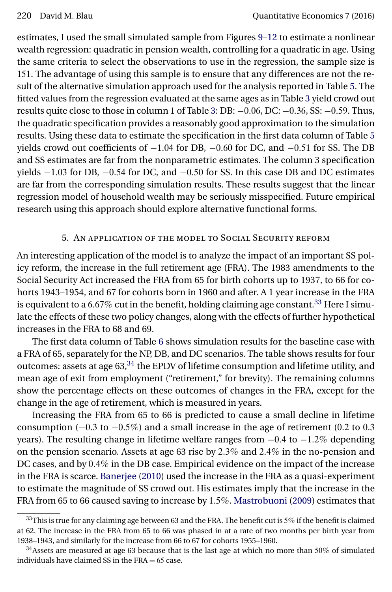<span id="page-27-0"></span>estimates, I used the small simulated sample from Figures [9–](#page-18-0)[12](#page-20-0) to estimate a nonlinear wealth regression: quadratic in pension wealth, controlling for a quadratic in age. Using the same criteria to select the observations to use in the regression, the sample size is 151. The advantage of using this sample is to ensure that any differences are not the result of the alternative simulation approach used for the analysis reported in Table [5.](#page-26-0) The fitted values from the regression evaluated at the same ages as in Table [3](#page-23-0) yield crowd out results quite close to those in column 1 of Table [3:](#page-23-0) DB: −0-06, DC: −0-36, SS: −0-59. Thus, the quadratic specification provides a reasonably good approximation to the simulation results. Using these data to estimate the specification in the first data column of Table [5](#page-26-0) yields crowd out coefficients of  $-1.04$  for DB,  $-0.60$  for DC, and  $-0.51$  for SS. The DB and SS estimates are far from the nonparametric estimates. The column 3 specification yields −1.03 for DB, −0.54 for DC, and −0.50 for SS. In this case DB and DC estimates are far from the corresponding simulation results. These results suggest that the linear regression model of household wealth may be seriously misspecified. Future empirical research using this approach should explore alternative functional forms.

### 5. An application of the model to Social Security reform

An interesting application of the model is to analyze the impact of an important SS policy reform, the increase in the full retirement age (FRA). The 1983 amendments to the Social Security Act increased the FRA from 65 for birth cohorts up to 1937, to 66 for cohorts 1943–1954, and 67 for cohorts born in 1960 and after. A 1 year increase in the FRA is equivalent to a 6.67% cut in the benefit, holding claiming age constant. $^{\rm 33}$  Here I simulate the effects of these two policy changes, along with the effects of further hypothetical increases in the FRA to 68 and 69.

The first data column of Table [6](#page-28-0) shows simulation results for the baseline case with a FRA of 65, separately for the NP, DB, and DC scenarios. The table shows results for four outcomes: assets at age  $63<sup>34</sup>$ , the EPDV of lifetime consumption and lifetime utility, and mean age of exit from employment ("retirement," for brevity). The remaining columns show the percentage effects on these outcomes of changes in the FRA, except for the change in the age of retirement, which is measured in years.

Increasing the FRA from 65 to 66 is predicted to cause a small decline in lifetime consumption  $(-0.3 \text{ to } -0.5\%)$  and a small increase in the age of retirement  $(0.2 \text{ to } 0.3$ years). The resulting change in lifetime welfare ranges from  $-0.4$  to  $-1.2\%$  depending on the pension scenario. Assets at age 63 rise by 2-3% and 2-4% in the no-pension and DC cases, and by  $0.4\%$  in the DB case. Empirical evidence on the impact of the increase in the FRA is scarce. [Banerjee](#page-29-0) [\(2010\)](#page-29-0) used the increase in the FRA as a quasi-experiment to estimate the magnitude of SS crowd out. His estimates imply that the increase in the FRA from 65 to 66 caused saving to increase by 1-5%. [Mastrobuoni](#page-31-0) [\(2009\)](#page-31-0) estimates that

 $33$ This is true for any claiming age between 63 and the FRA. The benefit cut is 5% if the benefit is claimed at 62. The increase in the FRA from 65 to 66 was phased in at a rate of two months per birth year from 1938–1943, and similarly for the increase from 66 to 67 for cohorts 1955–1960.

 $34$ Assets are measured at age 63 because that is the last age at which no more than 50% of simulated individuals have claimed SS in the  $FRA = 65$  case.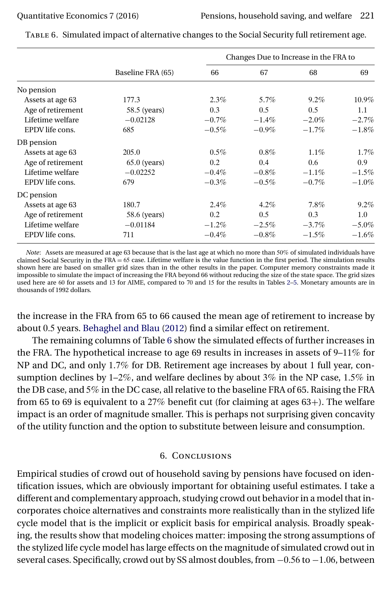|                   |                   | Changes Due to Increase in the FRA to |          |          |          |
|-------------------|-------------------|---------------------------------------|----------|----------|----------|
|                   | Baseline FRA (65) | 66                                    | 67       | 68       | 69       |
| No pension        |                   |                                       |          |          |          |
| Assets at age 63  | 177.3             | $2.3\%$                               | 5.7%     | $9.2\%$  | $10.9\%$ |
| Age of retirement | 58.5 (years)      | 0.3                                   | 0.5      | 0.5      | 1.1      |
| Lifetime welfare  | $-0.02128$        | $-0.7\%$                              | $-1.4\%$ | $-2.0\%$ | $-2.7\%$ |
| EPDV life cons.   | 685               | $-0.5\%$                              | $-0.9\%$ | $-1.7%$  | $-1.8\%$ |
| DB pension        |                   |                                       |          |          |          |
| Assets at age 63  | 205.0             | $0.5\%$                               | $0.8\%$  | $1.1\%$  | $1.7\%$  |
| Age of retirement | $65.0$ (years)    | 0.2                                   | 0.4      | 0.6      | 0.9      |
| Lifetime welfare  | $-0.02252$        | $-0.4\%$                              | $-0.8\%$ | $-1.1\%$ | $-1.5\%$ |
| EPDV life cons.   | 679               | $-0.3\%$                              | $-0.5\%$ | $-0.7%$  | $-1.0\%$ |
| DC pension        |                   |                                       |          |          |          |
| Assets at age 63  | 180.7             | $2.4\%$                               | $4.2\%$  | 7.8%     | $9.2\%$  |
| Age of retirement | 58.6 (years)      | 0.2                                   | 0.5      | 0.3      | 1.0      |
| Lifetime welfare  | $-0.01184$        | $-1.2\%$                              | $-2.5\%$ | $-3.7\%$ | $-5.0\%$ |
| EPDV life cons.   | 711               | $-0.4\%$                              | $-0.8\%$ | $-1.5\%$ | $-1.6\%$ |

<span id="page-28-0"></span>Table 6. Simulated impact of alternative changes to the Social Security full retirement age.

*Note*: Assets are measured at age 63 because that is the last age at which no more than 50% of simulated individuals have claimed Social Security in the FRA = 65 case. Lifetime welfare is the value function in the first period. The simulation results shown here are based on smaller grid sizes than in the other results in the paper. Computer memory constraints made it impossible to simulate the impact of increasing the FRA beyond 66 without reducing the size of the state space. The grid sizes used here are 60 for assets and 13 for AIME, compared to 70 and 15 for the results in Tables [2–](#page-20-0)[5.](#page-26-0) Monetary amounts are in thousands of 1992 dollars.

the increase in the FRA from 65 to 66 caused the mean age of retirement to increase by about 0-5 years. [Behaghel and Blau](#page-29-0) [\(2012\)](#page-29-0) find a similar effect on retirement.

The remaining columns of Table 6 show the simulated effects of further increases in the FRA. The hypothetical increase to age 69 results in increases in assets of  $9-11\%$  for NP and DC, and only 1-7% for DB. Retirement age increases by about 1 full year, consumption declines by 1–2%, and welfare declines by about 3% in the NP case, 1.5% in the DB case, and 5% in the DC case, all relative to the baseline FRA of 65. Raising the FRA from 65 to 69 is equivalent to a 27% benefit cut (for claiming at ages  $63+$ ). The welfare impact is an order of magnitude smaller. This is perhaps not surprising given concavity of the utility function and the option to substitute between leisure and consumption.

#### 6. Conclusions

Empirical studies of crowd out of household saving by pensions have focused on identification issues, which are obviously important for obtaining useful estimates. I take a different and complementary approach, studying crowd out behavior in a model that incorporates choice alternatives and constraints more realistically than in the stylized life cycle model that is the implicit or explicit basis for empirical analysis. Broadly speaking, the results show that modeling choices matter: imposing the strong assumptions of the stylized life cycle model has large effects on the magnitude of simulated crowd out in several cases. Specifically, crowd out by SS almost doubles, from  $-0.56$  to  $-1.06$ , between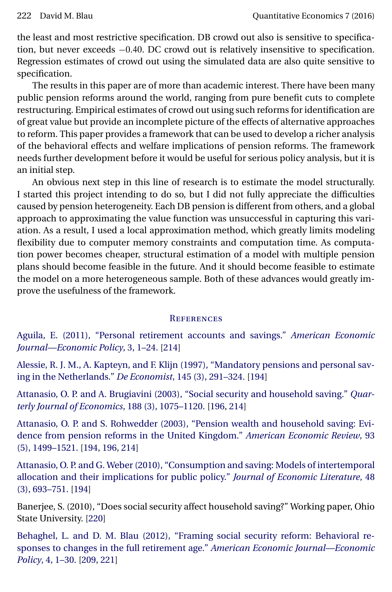<span id="page-29-0"></span>the least and most restrictive specification. DB crowd out also is sensitive to specification, but never exceeds −0-40. DC crowd out is relatively insensitive to specification. Regression estimates of crowd out using the simulated data are also quite sensitive to specification.

The results in this paper are of more than academic interest. There have been many public pension reforms around the world, ranging from pure benefit cuts to complete restructuring. Empirical estimates of crowd out using such reforms for identification are of great value but provide an incomplete picture of the effects of alternative approaches to reform. This paper provides a framework that can be used to develop a richer analysis of the behavioral effects and welfare implications of pension reforms. The framework needs further development before it would be useful for serious policy analysis, but it is an initial step.

An obvious next step in this line of research is to estimate the model structurally. I started this project intending to do so, but I did not fully appreciate the difficulties caused by pension heterogeneity. Each DB pension is different from others, and a global approach to approximating the value function was unsuccessful in capturing this variation. As a result, I used a local approximation method, which greatly limits modeling flexibility due to computer memory constraints and computation time. As computation power becomes cheaper, structural estimation of a model with multiple pension plans should become feasible in the future. And it should become feasible to estimate the model on a more heterogeneous sample. Both of these advances would greatly improve the usefulness of the framework.

### **REFERENCES**

[Aguila, E. \(2011\), "Personal retirement accounts and savings."](http://www.e-publications.org/srv/qe/linkserver/openurl?rft_dat=bib:1/1&rfe_id=urn:sici%2F1759-7323%28201603%297%3A1%3C193%3APHSAWA%3E2.0.CO%3B2-D) *American Economic [Journal—Economic Policy](http://www.e-publications.org/srv/qe/linkserver/openurl?rft_dat=bib:1/1&rfe_id=urn:sici%2F1759-7323%28201603%297%3A1%3C193%3APHSAWA%3E2.0.CO%3B2-D)*, 3, 1–24. [\[214\]](#page-21-0)

[Alessie, R. J. M., A. Kapteyn, and F. Klijn \(1997\), "Mandatory pensions and personal sav](http://www.e-publications.org/srv/qe/linkserver/openurl?rft_dat=bib:2/2&rfe_id=urn:sici%2F1759-7323%28201603%297%3A1%3C193%3APHSAWA%3E2.0.CO%3B2-D)[ing in the Netherlands."](http://www.e-publications.org/srv/qe/linkserver/openurl?rft_dat=bib:2/2&rfe_id=urn:sici%2F1759-7323%28201603%297%3A1%3C193%3APHSAWA%3E2.0.CO%3B2-D) *De Economist*, 145 (3), 291–324. [\[194\]](#page-1-0)

[Attanasio, O. P. and A. Brugiavini \(2003\), "Social security and household saving."](http://www.e-publications.org/srv/qe/linkserver/openurl?rft_dat=bib:3/3&rfe_id=urn:sici%2F1759-7323%28201603%297%3A1%3C193%3APHSAWA%3E2.0.CO%3B2-D) *Quar[terly Journal of Economics](http://www.e-publications.org/srv/qe/linkserver/openurl?rft_dat=bib:3/3&rfe_id=urn:sici%2F1759-7323%28201603%297%3A1%3C193%3APHSAWA%3E2.0.CO%3B2-D)*, 188 (3), 1075–1120. [\[196,](#page-3-0) [214\]](#page-21-0)

[Attanasio, O. P. and S. Rohwedder \(2003\), "Pension wealth and household saving: Evi](http://www.e-publications.org/srv/qe/linkserver/openurl?rft_dat=bib:4/4&rfe_id=urn:sici%2F1759-7323%28201603%297%3A1%3C193%3APHSAWA%3E2.0.CO%3B2-D)[dence from pension reforms in the United Kingdom."](http://www.e-publications.org/srv/qe/linkserver/openurl?rft_dat=bib:4/4&rfe_id=urn:sici%2F1759-7323%28201603%297%3A1%3C193%3APHSAWA%3E2.0.CO%3B2-D) *American Economic Review*, 93 [\(5\), 1499–1521.](http://www.e-publications.org/srv/qe/linkserver/openurl?rft_dat=bib:4/4&rfe_id=urn:sici%2F1759-7323%28201603%297%3A1%3C193%3APHSAWA%3E2.0.CO%3B2-D) [\[194,](#page-1-0) [196,](#page-3-0) [214\]](#page-21-0)

[Attanasio, O. P. and G. Weber \(2010\), "Consumption and saving: Models of intertemporal](http://www.e-publications.org/srv/qe/linkserver/openurl?rft_dat=bib:5/5&rfe_id=urn:sici%2F1759-7323%28201603%297%3A1%3C193%3APHSAWA%3E2.0.CO%3B2-D) [allocation and their implications for public policy."](http://www.e-publications.org/srv/qe/linkserver/openurl?rft_dat=bib:5/5&rfe_id=urn:sici%2F1759-7323%28201603%297%3A1%3C193%3APHSAWA%3E2.0.CO%3B2-D) *Journal of Economic Literature*, 48 [\(3\), 693–751.](http://www.e-publications.org/srv/qe/linkserver/openurl?rft_dat=bib:5/5&rfe_id=urn:sici%2F1759-7323%28201603%297%3A1%3C193%3APHSAWA%3E2.0.CO%3B2-D) [\[194\]](#page-1-0)

Banerjee, S. (2010), "Does social security affect household saving?" Working paper, Ohio State University. [\[220\]](#page-27-0)

[Behaghel, L. and D. M. Blau \(2012\), "Framing social security reform: Behavioral re](http://www.e-publications.org/srv/qe/linkserver/openurl?rft_dat=bib:7/7&rfe_id=urn:sici%2F1759-7323%28201603%297%3A1%3C193%3APHSAWA%3E2.0.CO%3B2-D)[sponses to changes in the full retirement age."](http://www.e-publications.org/srv/qe/linkserver/openurl?rft_dat=bib:7/7&rfe_id=urn:sici%2F1759-7323%28201603%297%3A1%3C193%3APHSAWA%3E2.0.CO%3B2-D) *American Economic Journal—Economic Policy*[, 4, 1–30.](http://www.e-publications.org/srv/qe/linkserver/openurl?rft_dat=bib:7/7&rfe_id=urn:sici%2F1759-7323%28201603%297%3A1%3C193%3APHSAWA%3E2.0.CO%3B2-D) [\[209,](#page-16-0) [221\]](#page-28-0)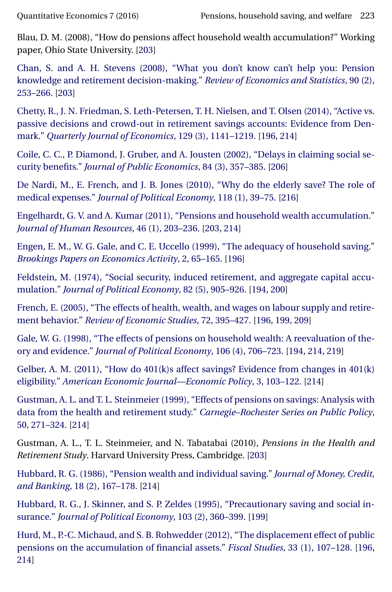<span id="page-30-0"></span>Blau, D. M. (2008), "How do pensions affect household wealth accumulation?" Working paper, Ohio State University. [\[203\]](#page-10-0)

[Chan, S. and A. H. Stevens \(2008\), "What you don't know can't help you: Pension](http://www.e-publications.org/srv/qe/linkserver/openurl?rft_dat=bib:9/9&rfe_id=urn:sici%2F1759-7323%28201603%297%3A1%3C193%3APHSAWA%3E2.0.CO%3B2-D) [knowledge and retirement decision-making."](http://www.e-publications.org/srv/qe/linkserver/openurl?rft_dat=bib:9/9&rfe_id=urn:sici%2F1759-7323%28201603%297%3A1%3C193%3APHSAWA%3E2.0.CO%3B2-D) *Review of Economics and Statistics*, 90 (2), [253–266.](http://www.e-publications.org/srv/qe/linkserver/openurl?rft_dat=bib:9/9&rfe_id=urn:sici%2F1759-7323%28201603%297%3A1%3C193%3APHSAWA%3E2.0.CO%3B2-D) [\[203\]](#page-10-0)

[Chetty, R., J. N. Friedman, S. Leth-Petersen, T. H. Nielsen, and T. Olsen \(2014\), "Active vs.](http://www.e-publications.org/srv/qe/linkserver/openurl?rft_dat=bib:10/10&rfe_id=urn:sici%2F1759-7323%28201603%297%3A1%3C193%3APHSAWA%3E2.0.CO%3B2-D) [passive decisions and crowd-out in retirement savings accounts: Evidence from Den](http://www.e-publications.org/srv/qe/linkserver/openurl?rft_dat=bib:10/10&rfe_id=urn:sici%2F1759-7323%28201603%297%3A1%3C193%3APHSAWA%3E2.0.CO%3B2-D)mark." *[Quarterly Journal of Economics](http://www.e-publications.org/srv/qe/linkserver/openurl?rft_dat=bib:10/10&rfe_id=urn:sici%2F1759-7323%28201603%297%3A1%3C193%3APHSAWA%3E2.0.CO%3B2-D)*, 129 (3), 1141–1219. [\[196,](#page-3-0) [214\]](#page-21-0)

[Coile, C. C., P. Diamond, J. Gruber, and A. Jousten \(2002\), "Delays in claiming social se](http://www.e-publications.org/srv/qe/linkserver/openurl?rft_dat=bib:11/11&rfe_id=urn:sici%2F1759-7323%28201603%297%3A1%3C193%3APHSAWA%3E2.0.CO%3B2-D)curity benefits." *[Journal of Public Economics](http://www.e-publications.org/srv/qe/linkserver/openurl?rft_dat=bib:11/11&rfe_id=urn:sici%2F1759-7323%28201603%297%3A1%3C193%3APHSAWA%3E2.0.CO%3B2-D)*, 84 (3), 357–385. [\[206\]](#page-13-0)

[De Nardi, M., E. French, and J. B. Jones \(2010\), "Why do the elderly save? The role of](http://www.e-publications.org/srv/qe/linkserver/openurl?rft_dat=bib:12/12&rfe_id=urn:sici%2F1759-7323%28201603%297%3A1%3C193%3APHSAWA%3E2.0.CO%3B2-D) medical expenses." *[Journal of Political Economy](http://www.e-publications.org/srv/qe/linkserver/openurl?rft_dat=bib:12/12&rfe_id=urn:sici%2F1759-7323%28201603%297%3A1%3C193%3APHSAWA%3E2.0.CO%3B2-D)*, 118 (1), 39–75. [\[216\]](#page-23-0)

[Engelhardt, G. V. and A. Kumar \(2011\), "Pensions and household wealth accumulation."](http://www.e-publications.org/srv/qe/linkserver/openurl?rft_dat=bib:13/13&rfe_id=urn:sici%2F1759-7323%28201603%297%3A1%3C193%3APHSAWA%3E2.0.CO%3B2-D) *[Journal of Human Resources](http://www.e-publications.org/srv/qe/linkserver/openurl?rft_dat=bib:13/13&rfe_id=urn:sici%2F1759-7323%28201603%297%3A1%3C193%3APHSAWA%3E2.0.CO%3B2-D)*, 46 (1), 203–236. [\[203,](#page-10-0) [214\]](#page-21-0)

[Engen, E. M., W. G. Gale, and C. E. Uccello \(1999\), "The adequacy of household saving."](http://www.e-publications.org/srv/qe/linkserver/openurl?rft_dat=bib:14/14&rfe_id=urn:sici%2F1759-7323%28201603%297%3A1%3C193%3APHSAWA%3E2.0.CO%3B2-D) *[Brookings Papers on Economics Activity](http://www.e-publications.org/srv/qe/linkserver/openurl?rft_dat=bib:14/14&rfe_id=urn:sici%2F1759-7323%28201603%297%3A1%3C193%3APHSAWA%3E2.0.CO%3B2-D)*, 2, 65–165. [\[196\]](#page-3-0)

[Feldstein, M. \(1974\), "Social security, induced retirement, and aggregate capital accu](http://www.e-publications.org/srv/qe/linkserver/openurl?rft_dat=bib:15/15&rfe_id=urn:sici%2F1759-7323%28201603%297%3A1%3C193%3APHSAWA%3E2.0.CO%3B2-D)mulation." *[Journal of Political Economy](http://www.e-publications.org/srv/qe/linkserver/openurl?rft_dat=bib:15/15&rfe_id=urn:sici%2F1759-7323%28201603%297%3A1%3C193%3APHSAWA%3E2.0.CO%3B2-D)*, 82 (5), 905–926. [\[194,](#page-1-0) [200\]](#page-7-0)

[French, E. \(2005\), "The effects of health, wealth, and wages on labour supply and retire](http://www.e-publications.org/srv/qe/linkserver/openurl?rft_dat=bib:16/16&rfe_id=urn:sici%2F1759-7323%28201603%297%3A1%3C193%3APHSAWA%3E2.0.CO%3B2-D)ment behavior." *[Review of Economic Studies](http://www.e-publications.org/srv/qe/linkserver/openurl?rft_dat=bib:16/16&rfe_id=urn:sici%2F1759-7323%28201603%297%3A1%3C193%3APHSAWA%3E2.0.CO%3B2-D)*, 72, 395–427. [\[196,](#page-3-0) [199,](#page-6-0) [209\]](#page-16-0)

[Gale, W. G. \(1998\), "The effects of pensions on household wealth: A reevaluation of the](http://www.e-publications.org/srv/qe/linkserver/openurl?rft_dat=bib:17/17&rfe_id=urn:sici%2F1759-7323%28201603%297%3A1%3C193%3APHSAWA%3E2.0.CO%3B2-D)ory and evidence." *[Journal of Political Economy](http://www.e-publications.org/srv/qe/linkserver/openurl?rft_dat=bib:17/17&rfe_id=urn:sici%2F1759-7323%28201603%297%3A1%3C193%3APHSAWA%3E2.0.CO%3B2-D)*, 106 (4), 706–723. [\[194,](#page-1-0) [214,](#page-21-0) [219\]](#page-26-0)

[Gelber, A. M. \(2011\), "How do 401\(k\)s affect savings? Evidence from changes in 401\(k\)](http://www.e-publications.org/srv/qe/linkserver/openurl?rft_dat=bib:18/18&rfe_id=urn:sici%2F1759-7323%28201603%297%3A1%3C193%3APHSAWA%3E2.0.CO%3B2-D) eligibility." *[American Economic Journal—Economic Policy](http://www.e-publications.org/srv/qe/linkserver/openurl?rft_dat=bib:18/18&rfe_id=urn:sici%2F1759-7323%28201603%297%3A1%3C193%3APHSAWA%3E2.0.CO%3B2-D)*, 3, 103–122. [\[214\]](#page-21-0)

[Gustman, A. L. and T. L. Steinmeier \(1999\), "Effects of pensions on savings: Analysis with](http://www.e-publications.org/srv/qe/linkserver/openurl?rft_dat=bib:19/19&rfe_id=urn:sici%2F1759-7323%28201603%297%3A1%3C193%3APHSAWA%3E2.0.CO%3B2-D) [data from the health and retirement study."](http://www.e-publications.org/srv/qe/linkserver/openurl?rft_dat=bib:19/19&rfe_id=urn:sici%2F1759-7323%28201603%297%3A1%3C193%3APHSAWA%3E2.0.CO%3B2-D) *Carnegie–Rochester Series on Public Policy*, [50, 271–324.](http://www.e-publications.org/srv/qe/linkserver/openurl?rft_dat=bib:19/19&rfe_id=urn:sici%2F1759-7323%28201603%297%3A1%3C193%3APHSAWA%3E2.0.CO%3B2-D) [\[214\]](#page-21-0)

Gustman, A. L., T. L. Steinmeier, and N. Tabatabai (2010), *Pensions in the Health and Retirement Study*. Harvard University Press, Cambridge. [\[203\]](#page-10-0)

[Hubbard, R. G. \(1986\), "Pension wealth and individual saving."](http://www.e-publications.org/srv/qe/linkserver/openurl?rft_dat=bib:21/21&rfe_id=urn:sici%2F1759-7323%28201603%297%3A1%3C193%3APHSAWA%3E2.0.CO%3B2-D) *Journal of Money, Credit, and Banking*[, 18 \(2\), 167–178.](http://www.e-publications.org/srv/qe/linkserver/openurl?rft_dat=bib:21/21&rfe_id=urn:sici%2F1759-7323%28201603%297%3A1%3C193%3APHSAWA%3E2.0.CO%3B2-D) [\[214\]](#page-21-0)

[Hubbard, R. G., J. Skinner, and S. P. Zeldes \(1995\), "Precautionary saving and social in](http://www.e-publications.org/srv/qe/linkserver/openurl?rft_dat=bib:22/22&rfe_id=urn:sici%2F1759-7323%28201603%297%3A1%3C193%3APHSAWA%3E2.0.CO%3B2-D)surance." *[Journal of Political Economy](http://www.e-publications.org/srv/qe/linkserver/openurl?rft_dat=bib:22/22&rfe_id=urn:sici%2F1759-7323%28201603%297%3A1%3C193%3APHSAWA%3E2.0.CO%3B2-D)*, 103 (2), 360–399. [\[199\]](#page-6-0)

[Hurd, M., P.-C. Michaud, and S. B. Rohwedder \(2012\), "The displacement effect of public](http://www.e-publications.org/srv/qe/linkserver/openurl?rft_dat=bib:23/23&rfe_id=urn:sici%2F1759-7323%28201603%297%3A1%3C193%3APHSAWA%3E2.0.CO%3B2-D) [pensions on the accumulation of financial assets."](http://www.e-publications.org/srv/qe/linkserver/openurl?rft_dat=bib:23/23&rfe_id=urn:sici%2F1759-7323%28201603%297%3A1%3C193%3APHSAWA%3E2.0.CO%3B2-D) *Fiscal Studies*, 33 (1), 107–128. [\[196,](#page-3-0) [214\]](#page-21-0)